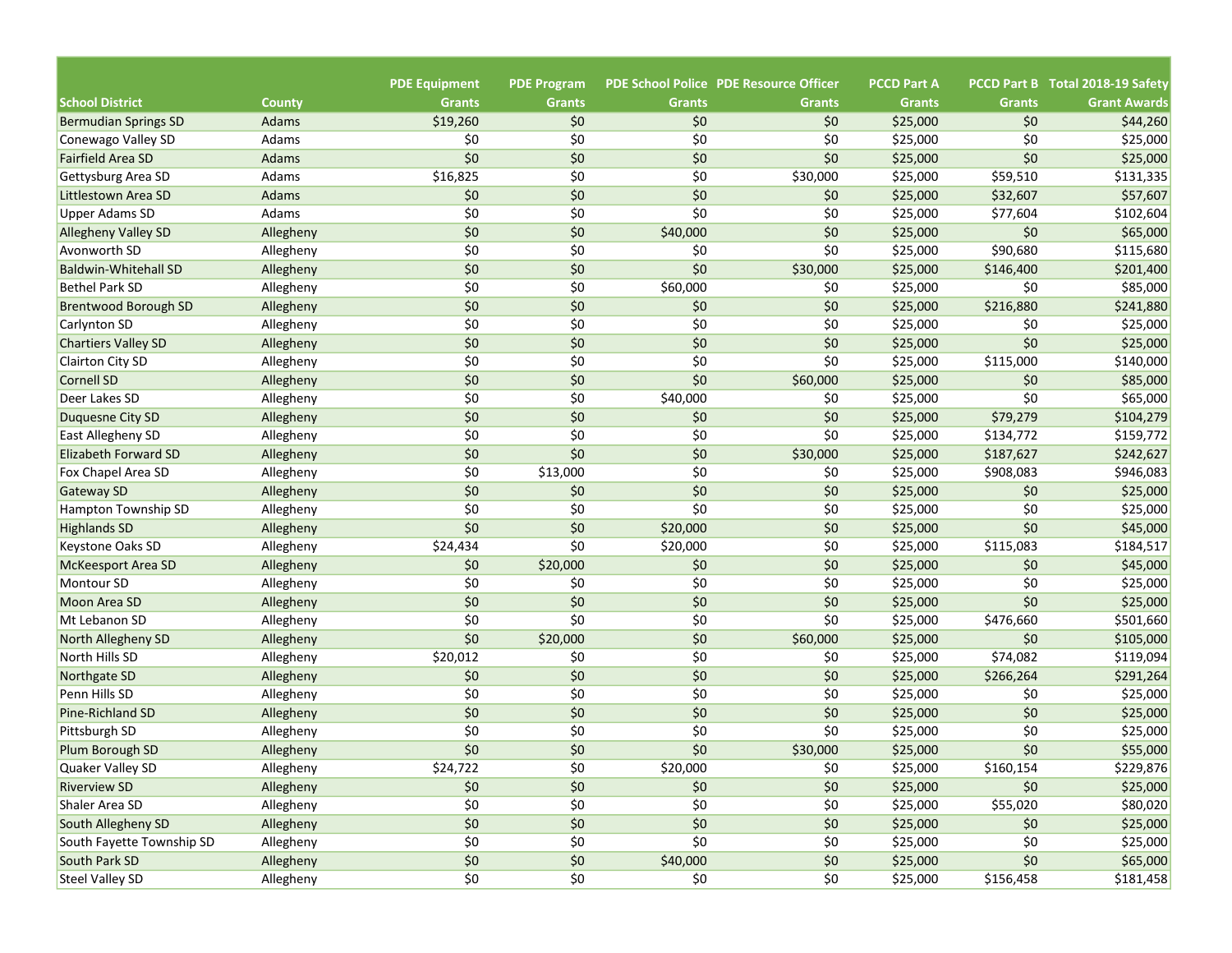|                                         |                        |                                       |                                     |               | <b>PDE School Police PDE Resource Officer</b> |                                     |                 | PCCD Part B Total 2018-19 Safety |
|-----------------------------------------|------------------------|---------------------------------------|-------------------------------------|---------------|-----------------------------------------------|-------------------------------------|-----------------|----------------------------------|
| <b>School District</b>                  |                        | <b>PDE Equipment</b><br><b>Grants</b> | <b>PDE Program</b><br><b>Grants</b> | <b>Grants</b> | <b>Grants</b>                                 | <b>PCCD Part A</b><br><b>Grants</b> | <b>Grants</b>   | <b>Grant Awards</b>              |
|                                         | <b>County</b><br>Adams | \$19,260                              | \$0                                 | \$0           | \$0                                           |                                     | \$0             |                                  |
| <b>Bermudian Springs SD</b>             | Adams                  | \$0                                   | \$0                                 | \$0           | \$0                                           | \$25,000<br>\$25,000                | \$0             | \$44,260<br>\$25,000             |
| Conewago Valley SD<br>Fairfield Area SD | Adams                  | \$0                                   | \$0                                 | \$0           | \$0                                           | \$25,000                            | \$0             | \$25,000                         |
| Gettysburg Area SD                      | Adams                  | \$16,825                              | \$0                                 | \$0           | \$30,000                                      | \$25,000                            | \$59,510        | \$131,335                        |
| Littlestown Area SD                     | Adams                  | \$0                                   | \$0                                 | \$0           | \$0                                           | \$25,000                            | \$32,607        | \$57,607                         |
| <b>Upper Adams SD</b>                   | Adams                  | \$0                                   | \$0                                 | \$0           | \$0                                           |                                     |                 | \$102,604                        |
|                                         |                        | \$0                                   | \$0                                 |               | \$0                                           | \$25,000                            | \$77,604<br>\$0 |                                  |
| <b>Allegheny Valley SD</b>              | Allegheny              |                                       |                                     | \$40,000      |                                               | \$25,000                            |                 | \$65,000                         |
| Avonworth SD                            | Allegheny              | \$0                                   | \$0                                 | \$0           | \$0                                           | \$25,000                            | \$90,680        | \$115,680                        |
| <b>Baldwin-Whitehall SD</b>             | Allegheny              | \$0                                   | \$0                                 | \$0           | \$30,000                                      | \$25,000                            | \$146,400       | \$201,400                        |
| <b>Bethel Park SD</b>                   | Allegheny              | \$0                                   | \$0                                 | \$60,000      | \$0                                           | \$25,000                            | \$0             | \$85,000                         |
| <b>Brentwood Borough SD</b>             | Allegheny              | \$0                                   | \$0                                 | \$0           | \$0                                           | \$25,000                            | \$216,880       | \$241,880                        |
| <b>Carlynton SD</b>                     | Allegheny              | \$0                                   | \$0                                 | \$0           | \$0                                           | \$25,000                            | \$0             | \$25,000                         |
| <b>Chartiers Valley SD</b>              | Allegheny              | \$0                                   | \$0                                 | \$0           | \$0                                           | \$25,000                            | \$0             | \$25,000                         |
| <b>Clairton City SD</b>                 | Allegheny              | \$0                                   | \$0                                 | \$0           | \$0                                           | \$25,000                            | \$115,000       | \$140,000                        |
| Cornell SD                              | Allegheny              | \$0                                   | \$0                                 | \$0           | \$60,000                                      | \$25,000                            | \$0             | \$85,000                         |
| Deer Lakes SD                           | Allegheny              | \$0                                   | \$0                                 | \$40,000      | \$0                                           | \$25,000                            | \$0             | \$65,000                         |
| Duguesne City SD                        | Allegheny              | \$0                                   | \$0                                 | \$0           | \$0                                           | \$25,000                            | \$79,279        | \$104,279                        |
| East Allegheny SD                       | Allegheny              | \$0                                   | \$0                                 | \$0           | \$0                                           | \$25,000                            | \$134,772       | \$159,772                        |
| <b>Elizabeth Forward SD</b>             | Allegheny              | \$0                                   | \$0                                 | \$0           | \$30,000                                      | \$25,000                            | \$187,627       | \$242,627                        |
| Fox Chapel Area SD                      | Allegheny              | \$0                                   | \$13,000                            | \$0           | \$0                                           | \$25,000                            | \$908,083       | \$946,083                        |
| Gateway SD                              | Allegheny              | \$0                                   | \$0                                 | \$0           | \$0                                           | \$25,000                            | \$0             | \$25,000                         |
| <b>Hampton Township SD</b>              | Allegheny              | \$0                                   | \$0                                 | \$0           | \$0                                           | \$25,000                            | \$0             | \$25,000                         |
| <b>Highlands SD</b>                     | Allegheny              | \$0                                   | \$0                                 | \$20,000      | \$0                                           | \$25,000                            | \$0             | \$45,000                         |
| <b>Keystone Oaks SD</b>                 | Allegheny              | \$24,434                              | \$0                                 | \$20,000      | \$0                                           | \$25,000                            | \$115,083       | \$184,517                        |
| <b>McKeesport Area SD</b>               | Allegheny              | \$0                                   | \$20,000                            | \$0           | \$0                                           | \$25,000                            | \$0             | \$45,000                         |
| <b>Montour SD</b>                       | Allegheny              | \$0                                   | \$0                                 | \$0           | \$0                                           | \$25,000                            | \$0             | \$25,000                         |
| Moon Area SD                            | Allegheny              | \$0                                   | \$0                                 | \$0           | \$0                                           | \$25,000                            | \$0             | \$25,000                         |
| Mt Lebanon SD                           | Allegheny              | \$0                                   | \$0                                 | \$0           | \$0                                           | \$25,000                            | \$476,660       | \$501,660                        |
| North Allegheny SD                      | Allegheny              | \$0                                   | \$20,000                            | \$0           | \$60,000                                      | \$25,000                            | \$0             | \$105,000                        |
| North Hills SD                          | Allegheny              | \$20,012                              | \$0                                 | \$0           | \$0                                           | \$25,000                            | \$74,082        | \$119,094                        |
| Northgate SD                            | Allegheny              | \$0                                   | \$0                                 | \$0           | \$0                                           | \$25,000                            | \$266,264       | \$291,264                        |
| Penn Hills SD                           | Allegheny              | \$0                                   | \$0                                 | \$0           | \$0                                           | \$25,000                            | \$0             | \$25,000                         |
| Pine-Richland SD                        | Allegheny              | \$0                                   | \$0                                 | \$0           | \$0                                           | \$25,000                            | \$0             | \$25,000                         |
| Pittsburgh SD                           | Allegheny              | \$0                                   | \$0                                 | \$0           | \$0                                           | \$25,000                            | \$0             | \$25,000                         |
| Plum Borough SD                         | Allegheny              | \$0                                   | \$0                                 | \$0           | \$30,000                                      | \$25,000                            | \$0             | \$55,000                         |
| Quaker Valley SD                        | Allegheny              | \$24,722                              | \$0                                 | \$20,000      | \$0                                           | \$25,000                            | \$160,154       | \$229,876                        |
| <b>Riverview SD</b>                     | Allegheny              | \$0                                   | \$0                                 | \$0           | $$0$$                                         | \$25,000                            | \$0             | \$25,000                         |
| Shaler Area SD                          | Allegheny              | \$0\$                                 | \$0                                 | \$0           | \$0                                           | \$25,000                            | \$55,020        | \$80,020                         |
| South Allegheny SD                      | Allegheny              | $$0$$                                 | $$0$$                               | \$0           | $$0$$                                         | \$25,000                            | \$0             | \$25,000                         |
| South Fayette Township SD               | Allegheny              | $$0$$                                 | \$0                                 | \$0           | \$0                                           | \$25,000                            | \$0             | \$25,000                         |
| South Park SD                           | Allegheny              | $$0$$                                 | $$0$$                               | \$40,000      | $$0$$                                         | \$25,000                            | \$0\$           | \$65,000                         |
| <b>Steel Valley SD</b>                  | Allegheny              | \$0                                   | \$0                                 | \$0           | \$0                                           | \$25,000                            | \$156,458       | \$181,458                        |
|                                         |                        |                                       |                                     |               |                                               |                                     |                 |                                  |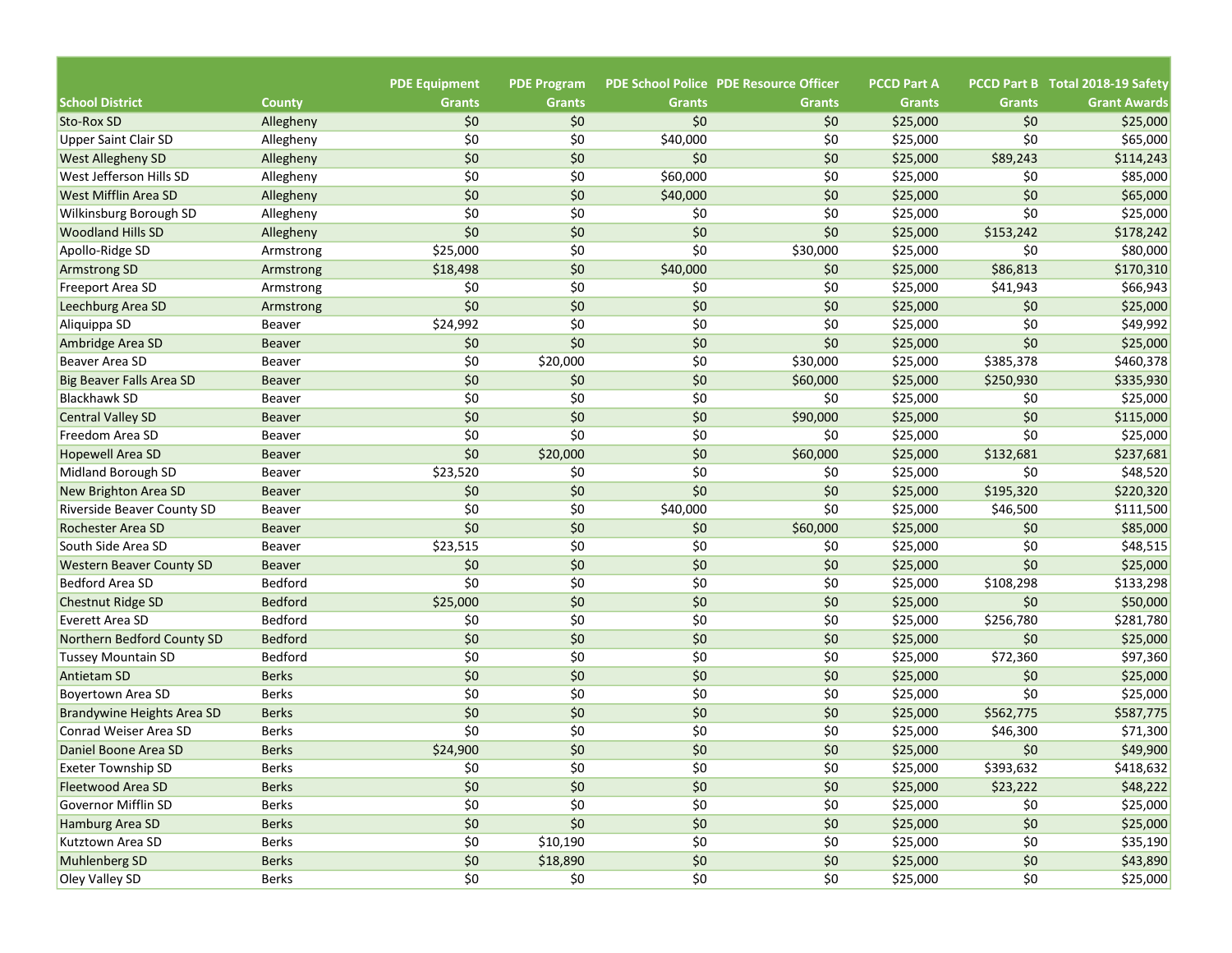|                                   |                        |                                       |                                     |               | <b>PDE School Police PDE Resource Officer</b> | <b>PCCD Part A</b> |               | PCCD Part B Total 2018-19 Safety |
|-----------------------------------|------------------------|---------------------------------------|-------------------------------------|---------------|-----------------------------------------------|--------------------|---------------|----------------------------------|
| <b>School District</b>            | <b>County</b>          | <b>PDE Equipment</b><br><b>Grants</b> | <b>PDE Program</b><br><b>Grants</b> | <b>Grants</b> | <b>Grants</b>                                 | <b>Grants</b>      | <b>Grants</b> | <b>Grant Awards</b>              |
| Sto-Rox SD                        |                        | \$0                                   | \$0                                 | \$0           | \$0                                           | \$25,000           | \$0           | \$25,000                         |
| <b>Upper Saint Clair SD</b>       | Allegheny<br>Allegheny | \$0                                   | \$0                                 | \$40,000      | \$0                                           | \$25,000           | \$0           | \$65,000                         |
| <b>West Allegheny SD</b>          | Allegheny              | \$0                                   | \$0                                 | \$0           | \$0                                           | \$25,000           | \$89,243      | \$114,243                        |
| West Jefferson Hills SD           | Allegheny              | \$0                                   | \$0                                 | \$60,000      | \$0                                           | \$25,000           | \$0           | \$85,000                         |
| <b>West Mifflin Area SD</b>       | Allegheny              | \$0                                   | \$0                                 | \$40,000      | \$0                                           | \$25,000           | \$0           | \$65,000                         |
| Wilkinsburg Borough SD            | Allegheny              | \$0                                   | \$0                                 | \$0           | \$0                                           | \$25,000           | \$0           | \$25,000                         |
| <b>Woodland Hills SD</b>          | Allegheny              | \$0                                   | \$0                                 | \$0           | \$0                                           | \$25,000           | \$153,242     | \$178,242                        |
| Apollo-Ridge SD                   | Armstrong              | \$25,000                              | \$0                                 | \$0           | \$30,000                                      | \$25,000           | \$0           | \$80,000                         |
| <b>Armstrong SD</b>               | Armstrong              | \$18,498                              | \$0                                 | \$40,000      | \$0                                           | \$25,000           | \$86,813      | \$170,310                        |
| <b>Freeport Area SD</b>           |                        | \$0                                   | \$0                                 | \$0           | \$0                                           | \$25,000           | \$41,943      | \$66,943                         |
|                                   | Armstrong              | \$0                                   | \$0                                 | \$0           | \$0                                           |                    |               |                                  |
| Leechburg Area SD                 | Armstrong              |                                       | \$0                                 | \$0           | \$0                                           | \$25,000           | \$0<br>\$0    | \$25,000                         |
| Aliquippa SD                      | <b>Beaver</b>          | \$24,992                              |                                     |               |                                               | \$25,000           | \$0           | \$49,992                         |
| Ambridge Area SD                  | <b>Beaver</b>          | \$0                                   | \$0                                 | \$0           | \$0                                           | \$25,000           |               | \$25,000                         |
| Beaver Area SD                    | <b>Beaver</b>          | \$0                                   | \$20,000                            | \$0           | \$30,000                                      | \$25,000           | \$385,378     | \$460,378                        |
| <b>Big Beaver Falls Area SD</b>   | <b>Beaver</b>          | \$0                                   | \$0                                 | \$0           | \$60,000                                      | \$25,000           | \$250,930     | \$335,930                        |
| <b>Blackhawk SD</b>               | <b>Beaver</b>          | \$0                                   | \$0                                 | \$0           | \$0                                           | \$25,000           | \$0           | \$25,000                         |
| <b>Central Valley SD</b>          | <b>Beaver</b>          | \$0                                   | \$0                                 | \$0           | \$90,000                                      | \$25,000           | \$0           | \$115,000                        |
| Freedom Area SD                   | <b>Beaver</b>          | \$0                                   | \$0                                 | \$0           | \$0                                           | \$25,000           | \$0           | \$25,000                         |
| <b>Hopewell Area SD</b>           | <b>Beaver</b>          | \$0                                   | \$20,000                            | \$0           | \$60,000                                      | \$25,000           | \$132,681     | \$237,681                        |
| Midland Borough SD                | <b>Beaver</b>          | \$23,520                              | \$0                                 | \$0           | \$0                                           | \$25,000           | \$0           | \$48,520                         |
| New Brighton Area SD              | <b>Beaver</b>          | \$0                                   | \$0                                 | \$0           | \$0                                           | \$25,000           | \$195,320     | \$220,320                        |
| <b>Riverside Beaver County SD</b> | <b>Beaver</b>          | \$0                                   | \$0                                 | \$40,000      | \$0                                           | \$25,000           | \$46,500      | \$111,500                        |
| <b>Rochester Area SD</b>          | <b>Beaver</b>          | \$0                                   | \$0                                 | \$0           | \$60,000                                      | \$25,000           | \$0           | \$85,000                         |
| South Side Area SD                | <b>Beaver</b>          | \$23,515                              | \$0                                 | \$0           | \$0                                           | \$25,000           | \$0           | \$48,515                         |
| <b>Western Beaver County SD</b>   | <b>Beaver</b>          | \$0                                   | \$0                                 | \$0           | \$0                                           | \$25,000           | \$0           | \$25,000                         |
| Bedford Area SD                   | <b>Bedford</b>         | \$0                                   | \$0                                 | \$0           | \$0                                           | \$25,000           | \$108,298     | \$133,298                        |
| <b>Chestnut Ridge SD</b>          | <b>Bedford</b>         | \$25,000                              | \$0                                 | \$0           | \$0                                           | \$25,000           | \$0           | \$50,000                         |
| <b>Everett Area SD</b>            | Bedford                | \$0                                   | \$0                                 | \$0           | \$0                                           | \$25,000           | \$256,780     | \$281,780                        |
| Northern Bedford County SD        | <b>Bedford</b>         | \$0                                   | \$0                                 | \$0           | \$0                                           | \$25,000           | \$0           | \$25,000                         |
| Tussey Mountain SD                | Bedford                | \$0                                   | \$0                                 | \$0           | \$0                                           | \$25,000           | \$72,360      | \$97,360                         |
| <b>Antietam SD</b>                | <b>Berks</b>           | \$0                                   | \$0                                 | \$0           | \$0                                           | \$25,000           | \$0           | \$25,000                         |
| Boyertown Area SD                 | <b>Berks</b>           | \$0                                   | \$0                                 | \$0           | \$0                                           | \$25,000           | \$0           | \$25,000                         |
| Brandywine Heights Area SD        | <b>Berks</b>           | \$0                                   | \$0                                 | \$0           | \$0                                           | \$25,000           | \$562,775     | \$587,775                        |
| Conrad Weiser Area SD             | <b>Berks</b>           | \$0                                   | \$0                                 | \$0           | \$0                                           | \$25,000           | \$46,300      | \$71,300                         |
| Daniel Boone Area SD              | <b>Berks</b>           | \$24,900                              | \$0                                 | \$0           | \$0                                           | \$25,000           | \$0           | \$49,900                         |
| <b>Exeter Township SD</b>         | Berks                  | \$0                                   | \$0                                 | \$0           | \$0                                           | \$25,000           | \$393,632     | \$418,632                        |
| Fleetwood Area SD                 | <b>Berks</b>           | \$0                                   | \$0                                 | \$0           | $$0$$                                         | \$25,000           | \$23,222      | \$48,222                         |
| <b>Governor Mifflin SD</b>        | Berks                  | \$0                                   | \$0                                 | \$0           | \$0                                           | \$25,000           | \$0           | \$25,000                         |
| Hamburg Area SD                   | <b>Berks</b>           | \$0                                   | \$0                                 | \$0           | $$0$$                                         | \$25,000           | \$0           | \$25,000                         |
| Kutztown Area SD                  | Berks                  | \$0                                   | \$10,190                            | \$0           | \$0                                           | \$25,000           | \$0           | \$35,190                         |
| Muhlenberg SD                     | <b>Berks</b>           | \$0                                   | \$18,890                            | \$0           | $$0$$                                         | \$25,000           | \$0           | \$43,890                         |
| Oley Valley SD                    | Berks                  | \$0                                   | \$0                                 | \$0           | \$0                                           | \$25,000           | \$0           | \$25,000                         |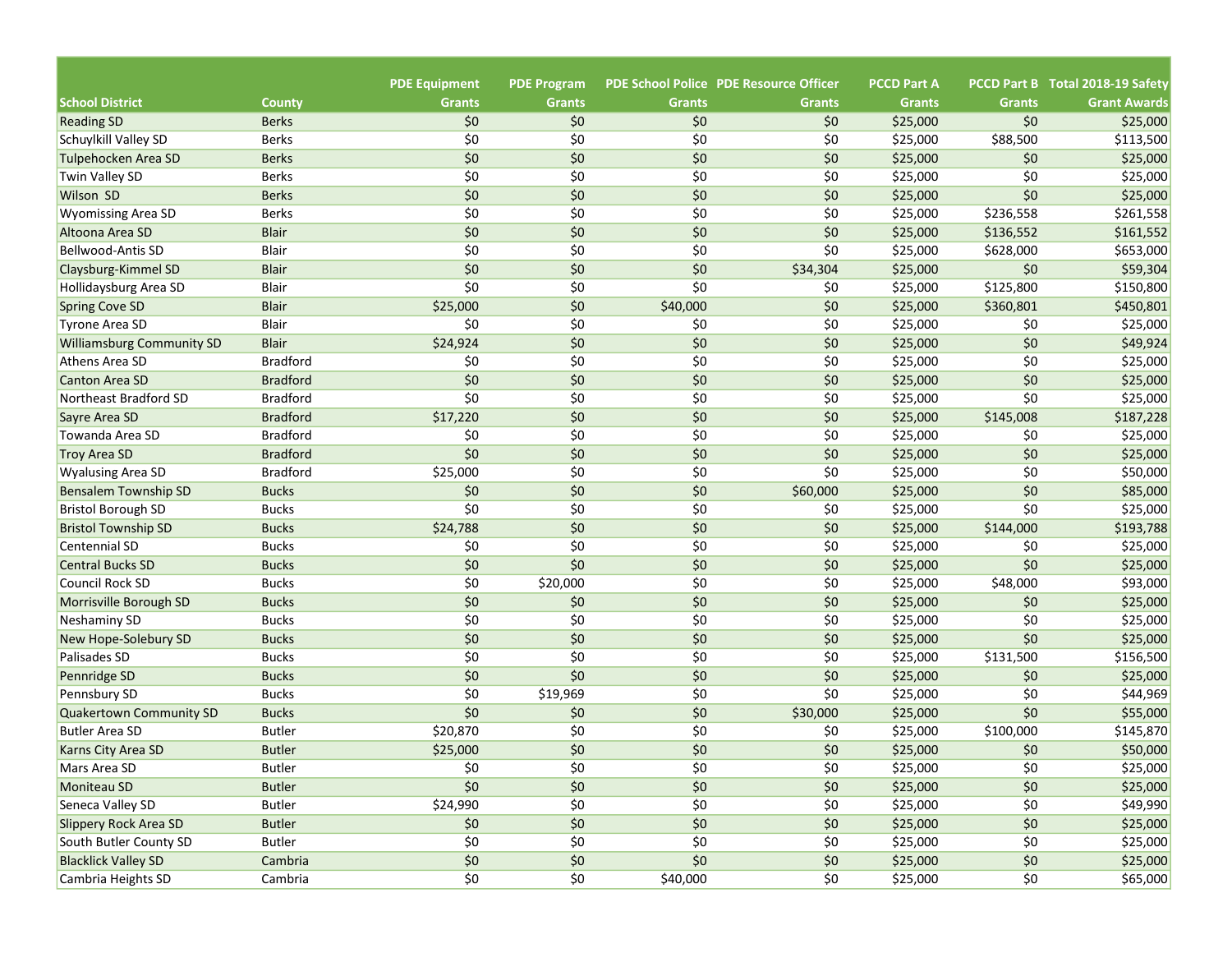|                                                           |                                       |                                     |               | <b>PDE School Police PDE Resource Officer</b> | <b>PCCD Part A</b>   |               | PCCD Part B Total 2018-19 Safety |
|-----------------------------------------------------------|---------------------------------------|-------------------------------------|---------------|-----------------------------------------------|----------------------|---------------|----------------------------------|
| <b>School District</b><br>County                          | <b>PDE Equipment</b><br><b>Grants</b> | <b>PDE Program</b><br><b>Grants</b> | <b>Grants</b> | <b>Grants</b>                                 | <b>Grants</b>        | <b>Grants</b> | <b>Grant Awards</b>              |
| <b>Berks</b>                                              | \$0                                   | \$0                                 | \$0           | \$0                                           |                      | \$0           | \$25,000                         |
| <b>Reading SD</b><br><b>Berks</b><br>Schuylkill Valley SD | \$0                                   | \$0                                 | \$0           | \$0                                           | \$25,000<br>\$25,000 | \$88,500      | \$113,500                        |
| Tulpehocken Area SD<br><b>Berks</b>                       | \$0                                   | \$0                                 | \$0           | \$0                                           | \$25,000             | \$0           | \$25,000                         |
| Twin Valley SD<br><b>Berks</b>                            | \$0                                   | \$0                                 | \$0           | \$0                                           | \$25,000             | \$0           | \$25,000                         |
| <b>Wilson SD</b><br><b>Berks</b>                          | \$0                                   | \$0                                 | \$0           | \$0                                           | \$25,000             | \$0           | \$25,000                         |
| <b>Wyomissing Area SD</b><br><b>Berks</b>                 | \$0                                   | \$0                                 | \$0           | \$0                                           | \$25,000             | \$236,558     | \$261,558                        |
| Altoona Area SD<br><b>Blair</b>                           | \$0                                   | \$0                                 | \$0           | \$0                                           | \$25,000             | \$136,552     | \$161,552                        |
| <b>Bellwood-Antis SD</b><br>Blair                         | \$0                                   | \$0                                 | \$0           | \$0                                           | \$25,000             | \$628,000     | \$653,000                        |
| <b>Blair</b><br>Claysburg-Kimmel SD                       | \$0                                   | \$0                                 | \$0           | \$34,304                                      | \$25,000             | \$0           | \$59,304                         |
| Hollidaysburg Area SD<br>Blair                            | \$0                                   | \$0                                 | \$0           | \$0                                           | \$25,000             | \$125,800     | \$150,800                        |
| <b>Blair</b><br><b>Spring Cove SD</b>                     | \$25,000                              | \$0                                 | \$40,000      | \$0                                           | \$25,000             | \$360,801     | \$450,801                        |
| Blair<br>Tyrone Area SD                                   | \$0                                   | \$0                                 | \$0           | \$0                                           | \$25,000             | \$0           | \$25,000                         |
| <b>Williamsburg Community SD</b><br><b>Blair</b>          | \$24,924                              | \$0                                 | \$0           | \$0                                           | \$25,000             | \$0           | \$49,924                         |
| <b>Bradford</b><br>Athens Area SD                         | \$0                                   | \$0                                 | \$0           | \$0                                           | \$25,000             | \$0           | \$25,000                         |
| <b>Bradford</b><br>Canton Area SD                         | \$0                                   | \$0                                 | \$0           | \$0                                           | \$25,000             | \$0           | \$25,000                         |
| <b>Bradford</b><br>Northeast Bradford SD                  | \$0                                   | \$0                                 | \$0           | \$0                                           | \$25,000             | \$0           | \$25,000                         |
| <b>Bradford</b><br>Sayre Area SD                          | \$17,220                              | \$0                                 | \$0           | \$0                                           | \$25,000             | \$145,008     | \$187,228                        |
| <b>Bradford</b><br>Towanda Area SD                        | \$0                                   | \$0                                 | \$0           | \$0                                           | \$25,000             | \$0           | \$25,000                         |
| <b>Bradford</b><br><b>Troy Area SD</b>                    | \$0                                   | \$0                                 | \$0           | \$0                                           | \$25,000             | \$0           | \$25,000                         |
| <b>Bradford</b><br><b>Wyalusing Area SD</b>               | \$25,000                              | \$0                                 | \$0           | \$0                                           | \$25,000             | \$0           | \$50,000                         |
| <b>Bucks</b><br><b>Bensalem Township SD</b>               | \$0                                   | \$0                                 | \$0           | \$60,000                                      | \$25,000             | \$0           | \$85,000                         |
| <b>Bucks</b><br><b>Bristol Borough SD</b>                 | \$0                                   | \$0                                 | \$0           | \$0                                           | \$25,000             | \$0           | \$25,000                         |
| <b>Bucks</b><br><b>Bristol Township SD</b>                | \$24,788                              | \$0                                 | \$0           | \$0                                           | \$25,000             | \$144,000     | \$193,788                        |
| <b>Bucks</b><br>Centennial SD                             | \$0                                   | \$0                                 | \$0           | \$0                                           | \$25,000             | \$0           | \$25,000                         |
| <b>Bucks</b><br><b>Central Bucks SD</b>                   | \$0                                   | \$0                                 | \$0           | \$0                                           | \$25,000             | \$0           | \$25,000                         |
| <b>Bucks</b><br><b>Council Rock SD</b>                    | \$0                                   | \$20,000                            | \$0           | \$0                                           | \$25,000             | \$48,000      | \$93,000                         |
| <b>Bucks</b><br>Morrisville Borough SD                    | \$0                                   | \$0                                 | \$0           | \$0                                           | \$25,000             | \$0           | \$25,000                         |
| <b>Bucks</b><br>Neshaminy SD                              | \$0                                   | \$0                                 | \$0           | \$0                                           | \$25,000             | \$0           | \$25,000                         |
| <b>Bucks</b><br>New Hope-Solebury SD                      | \$0                                   | \$0                                 | \$0           | \$0                                           | \$25,000             | \$0           | \$25,000                         |
| Palisades SD<br><b>Bucks</b>                              | \$0                                   | \$0                                 | \$0           | \$0                                           | \$25,000             | \$131,500     | \$156,500                        |
| <b>Bucks</b><br>Pennridge SD                              | \$0                                   | \$0                                 | \$0           | \$0                                           | \$25,000             | \$0           | \$25,000                         |
| <b>Bucks</b><br>Pennsbury SD                              | \$0                                   | \$19,969                            | \$0           | \$0                                           | \$25,000             | \$0           | \$44,969                         |
| <b>Bucks</b><br>Quakertown Community SD                   | \$0                                   | \$0                                 | \$0           | \$30,000                                      | \$25,000             | \$0           | \$55,000                         |
| <b>Butler Area SD</b><br><b>Butler</b>                    | \$20,870                              | \$0                                 | \$0           | \$0                                           | \$25,000             | \$100,000     | \$145,870                        |
| <b>Butler</b><br>Karns City Area SD                       | \$25,000                              | \$0                                 | \$0           | \$0                                           | \$25,000             | \$0           | \$50,000                         |
| <b>Butler</b><br>Mars Area SD                             | \$0                                   | \$0                                 | \$0           | \$0                                           | \$25,000             | \$0           | \$25,000                         |
| Moniteau SD<br><b>Butler</b>                              | \$0                                   | \$0\$                               | \$0           | \$0                                           | \$25,000             | \$0           | \$25,000                         |
| Seneca Valley SD<br><b>Butler</b>                         | \$24,990                              | \$0                                 | \$0           | \$0                                           | \$25,000             | \$0           | \$49,990                         |
| Slippery Rock Area SD<br><b>Butler</b>                    | \$0                                   | $$0$$                               | \$0           | \$0                                           | \$25,000             | \$0           | \$25,000                         |
| South Butler County SD<br><b>Butler</b>                   | $$0$$                                 | \$0                                 | \$0           | \$0                                           | \$25,000             | \$0           | \$25,000                         |
| <b>Blacklick Valley SD</b><br>Cambria                     | $$0$$                                 | \$0                                 | \$0           | \$0                                           | \$25,000             | \$0           | \$25,000                         |
| Cambria Heights SD<br>Cambria                             | \$0                                   | \$0                                 | \$40,000      | \$0                                           | \$25,000             | \$0           | \$65,000                         |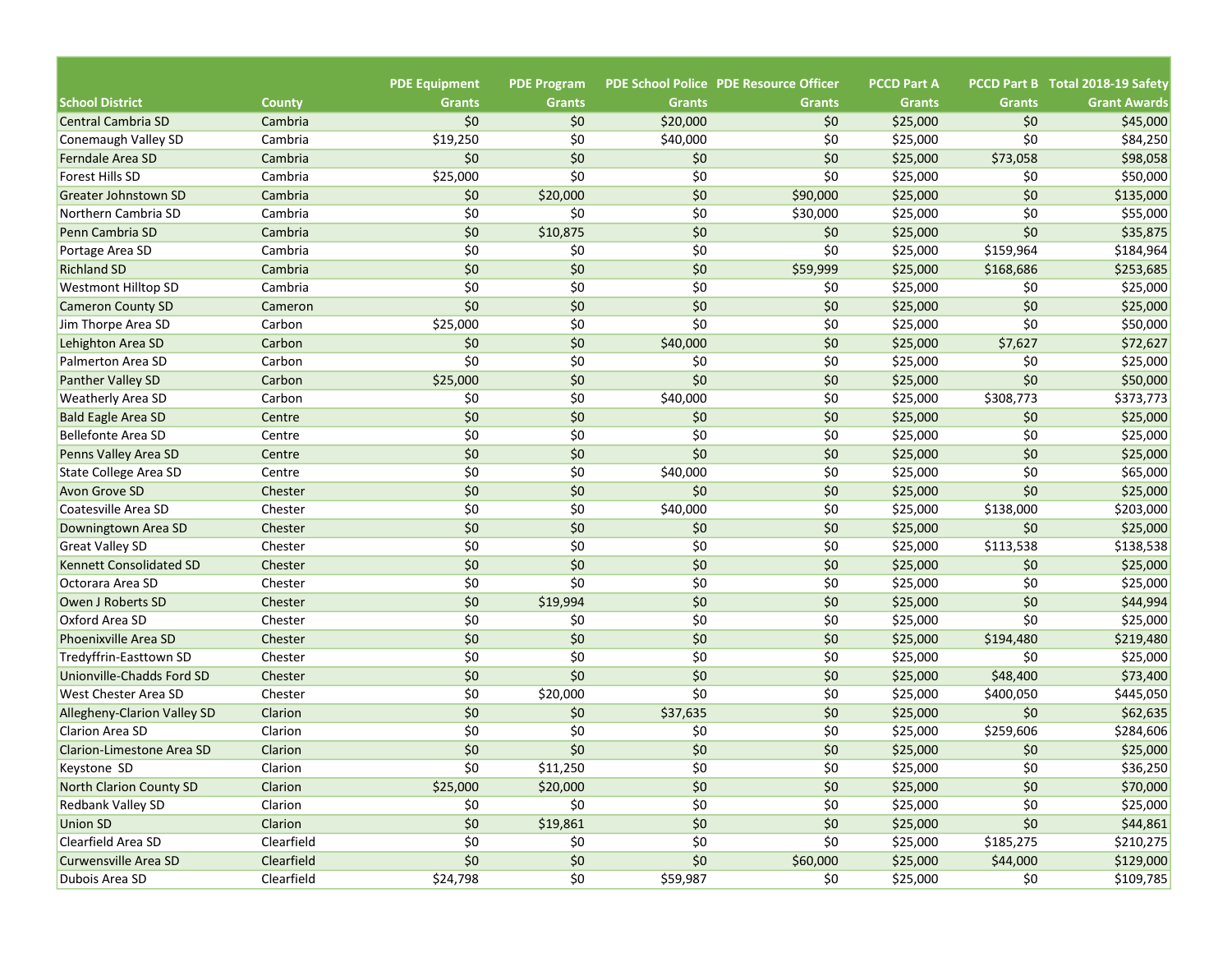| <b>School District</b>                         |                          | <b>PDE Equipment</b><br><b>Grants</b> | <b>PDE Program</b><br><b>Grants</b> | <b>Grants</b> | <b>PDE School Police PDE Resource Officer</b><br><b>Grants</b> | <b>PCCD Part A</b><br><b>Grants</b> | <b>Grants</b> | PCCD Part B Total 2018-19 Safety<br><b>Grant Awards</b> |
|------------------------------------------------|--------------------------|---------------------------------------|-------------------------------------|---------------|----------------------------------------------------------------|-------------------------------------|---------------|---------------------------------------------------------|
| <b>Central Cambria SD</b>                      | <b>County</b><br>Cambria | \$0                                   | \$0                                 | \$20,000      | \$0                                                            | \$25,000                            | \$0           | \$45,000                                                |
|                                                | Cambria                  | \$19,250                              | \$0                                 | \$40,000      | \$0                                                            | \$25,000                            | \$0           | \$84,250                                                |
| Conemaugh Valley SD<br><b>Ferndale Area SD</b> | Cambria                  | \$0                                   | \$0                                 | \$0           | \$0                                                            | \$25,000                            | \$73,058      | \$98,058                                                |
| <b>Forest Hills SD</b>                         | Cambria                  | \$25,000                              | \$0                                 | \$0           | \$0                                                            | \$25,000                            | \$0           | \$50,000                                                |
| Greater Johnstown SD                           | Cambria                  | \$0                                   | \$20,000                            | \$0           | \$90,000                                                       | \$25,000                            | \$0           | \$135,000                                               |
|                                                |                          | \$0                                   | \$0                                 | \$0           |                                                                |                                     | \$0           |                                                         |
| Northern Cambria SD                            | Cambria                  | \$0                                   |                                     | \$0           | \$30,000                                                       | \$25,000                            | \$0           | \$55,000<br>\$35,875                                    |
| Penn Cambria SD                                | Cambria                  |                                       | \$10,875                            |               | \$0                                                            | \$25,000                            |               |                                                         |
| Portage Area SD                                | Cambria                  | \$0                                   | \$0                                 | \$0           | \$0                                                            | \$25,000                            | \$159,964     | \$184,964                                               |
| <b>Richland SD</b>                             | Cambria                  | \$0                                   | \$0                                 | \$0           | \$59,999                                                       | \$25,000                            | \$168,686     | \$253,685                                               |
| <b>Westmont Hilltop SD</b>                     | Cambria                  | \$0                                   | \$0                                 | \$0           | \$0                                                            | \$25,000                            | \$0           | \$25,000                                                |
| <b>Cameron County SD</b>                       | Cameron                  | \$0                                   | \$0                                 | \$0           | \$0                                                            | \$25,000                            | \$0           | \$25,000                                                |
| Jim Thorpe Area SD                             | Carbon                   | \$25,000                              | \$0                                 | \$0           | \$0                                                            | \$25,000                            | \$0           | \$50,000                                                |
| Lehighton Area SD                              | Carbon                   | \$0                                   | \$0                                 | \$40,000      | \$0                                                            | \$25,000                            | \$7,627       | \$72,627                                                |
| <b>Palmerton Area SD</b>                       | Carbon                   | \$0                                   | \$0                                 | \$0           | \$0                                                            | \$25,000                            | \$0           | \$25,000                                                |
| <b>Panther Valley SD</b>                       | Carbon                   | \$25,000                              | \$0                                 | \$0           | \$0                                                            | \$25,000                            | \$0           | \$50,000                                                |
| <b>Weatherly Area SD</b>                       | Carbon                   | \$0                                   | \$0                                 | \$40,000      | \$0                                                            | \$25,000                            | \$308,773     | \$373,773                                               |
| <b>Bald Eagle Area SD</b>                      | Centre                   | \$0                                   | \$0                                 | \$0           | \$0                                                            | \$25,000                            | \$0           | \$25,000                                                |
| <b>Bellefonte Area SD</b>                      | Centre                   | \$0                                   | \$0                                 | \$0           | \$0                                                            | \$25,000                            | \$0           | \$25,000                                                |
| Penns Valley Area SD                           | Centre                   | \$0                                   | \$0                                 | \$0           | \$0                                                            | \$25,000                            | \$0           | \$25,000                                                |
| State College Area SD                          | Centre                   | \$0                                   | \$0                                 | \$40,000      | \$0                                                            | \$25,000                            | \$0           | \$65,000                                                |
| Avon Grove SD                                  | Chester                  | \$0                                   | \$0                                 | \$0           | \$0                                                            | \$25,000                            | \$0           | \$25,000                                                |
| Coatesville Area SD                            | Chester                  | \$0                                   | \$0                                 | \$40,000      | \$0                                                            | \$25,000                            | \$138,000     | \$203,000                                               |
| Downingtown Area SD                            | Chester                  | \$0                                   | \$0                                 | \$0           | \$0                                                            | \$25,000                            | \$0           | \$25,000                                                |
| <b>Great Valley SD</b>                         | Chester                  | \$0                                   | \$0                                 | \$0           | \$0                                                            | \$25,000                            | \$113,538     | \$138,538                                               |
| <b>Kennett Consolidated SD</b>                 | Chester                  | \$0                                   | \$0                                 | \$0           | \$0                                                            | \$25,000                            | \$0           | \$25,000                                                |
| Octorara Area SD                               | Chester                  | \$0                                   | \$0                                 | \$0           | \$0                                                            | \$25,000                            | \$0           | \$25,000                                                |
| Owen J Roberts SD                              | Chester                  | \$0                                   | \$19,994                            | \$0           | \$0                                                            | \$25,000                            | \$0           | \$44,994                                                |
| Oxford Area SD                                 | Chester                  | \$0                                   | \$0                                 | \$0           | \$0                                                            | \$25,000                            | \$0           | \$25,000                                                |
| <b>Phoenixville Area SD</b>                    | Chester                  | \$0                                   | \$0                                 | \$0           | \$0                                                            | \$25,000                            | \$194,480     | \$219,480                                               |
| Tredyffrin-Easttown SD                         | Chester                  | \$0                                   | \$0                                 | \$0           | \$0                                                            | \$25,000                            | \$0           | \$25,000                                                |
| Unionville-Chadds Ford SD                      | Chester                  | \$0                                   | \$0                                 | \$0           | \$0                                                            | \$25,000                            | \$48,400      | \$73,400                                                |
| West Chester Area SD                           | Chester                  | \$0                                   | \$20,000                            | \$0           | \$0                                                            | \$25,000                            | \$400,050     | \$445,050                                               |
| Allegheny-Clarion Valley SD                    | Clarion                  | \$0                                   | \$0                                 | \$37,635      | \$0                                                            | \$25,000                            | \$0           | \$62,635                                                |
| <b>Clarion Area SD</b>                         | Clarion                  | \$0                                   | \$0                                 | \$0           | \$0                                                            | \$25,000                            | \$259,606     | \$284,606                                               |
| Clarion-Limestone Area SD                      | Clarion                  | \$0                                   | \$0                                 | \$0           | \$0                                                            | \$25,000                            | \$0           | \$25,000                                                |
| Keystone SD                                    | Clarion                  | \$0                                   | \$11,250                            | \$0           | \$0                                                            | \$25,000                            | \$0           | \$36,250                                                |
| North Clarion County SD                        | Clarion                  | \$25,000                              | \$20,000                            | \$0           | $$0$$                                                          | \$25,000                            | \$0           | \$70,000                                                |
| <b>Redbank Valley SD</b>                       | Clarion                  | \$0                                   | \$0                                 | \$0           | \$0                                                            | \$25,000                            | \$0           | \$25,000                                                |
| <b>Union SD</b>                                | Clarion                  | \$0                                   | \$19,861                            | \$0           | $$0$$                                                          | \$25,000                            | \$0           | \$44,861                                                |
| Clearfield Area SD                             | Clearfield               | $$0$$                                 | \$0                                 | \$0           | \$0                                                            | \$25,000                            | \$185,275     | \$210,275                                               |
| Curwensville Area SD                           | Clearfield               | \$0                                   | \$0                                 | \$0           | \$60,000                                                       | \$25,000                            | \$44,000      | \$129,000                                               |
| Dubois Area SD                                 | Clearfield               | \$24,798                              | \$0                                 | \$59,987      | \$0                                                            | \$25,000                            | \$0           | \$109,785                                               |
|                                                |                          |                                       |                                     |               |                                                                |                                     |               |                                                         |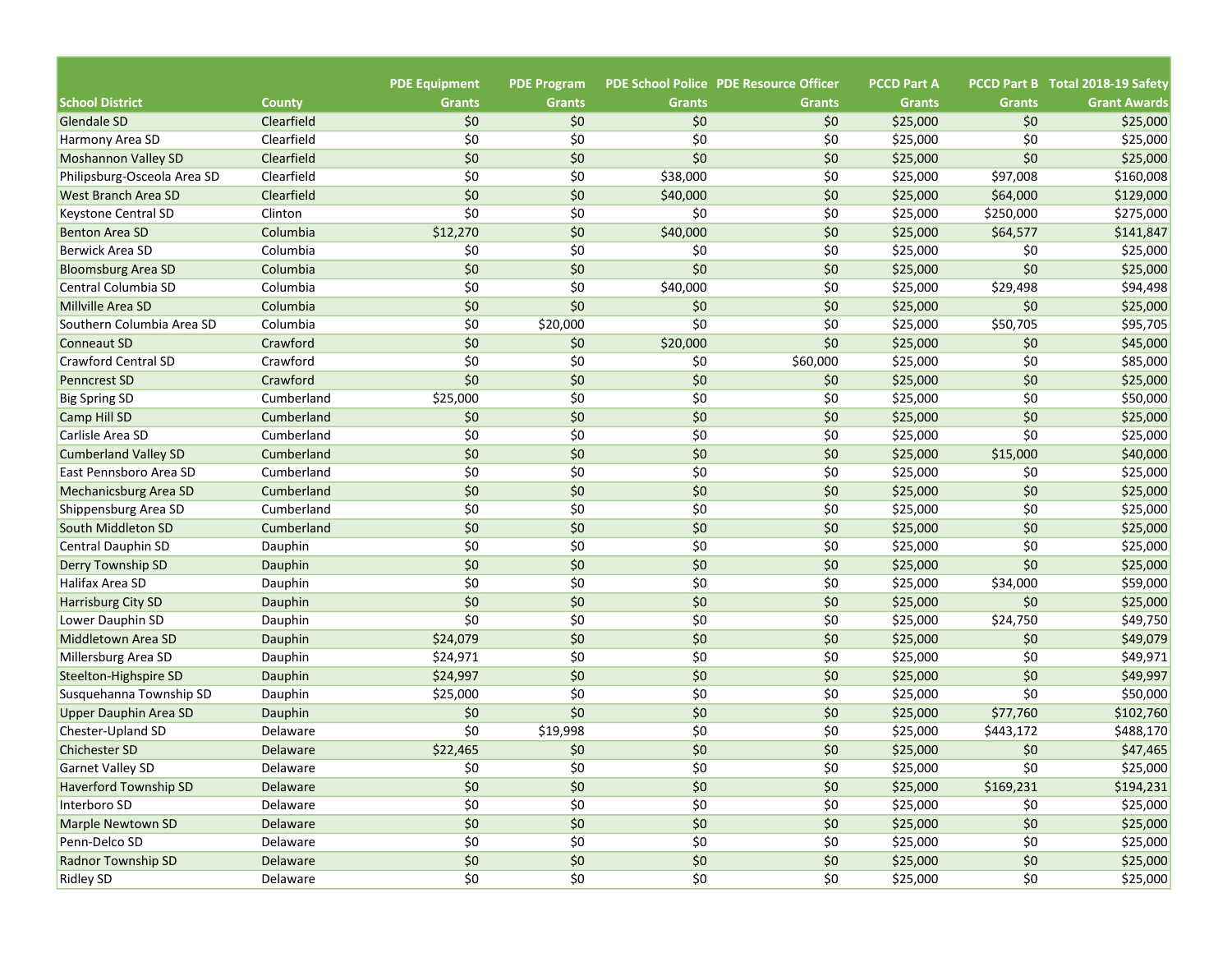| <b>PDE School Police PDE Resource Officer</b><br>PCCD Part B Total 2018-19 Safety<br><b>School District</b><br><b>Grants</b><br><b>Grants</b><br><b>Grants</b><br><b>Grants</b><br><b>Grants</b><br><b>Grants</b><br><b>Grant Awards</b><br><b>County</b><br>Clearfield<br>\$0<br>\$0<br>\$0<br>Glendale SD<br>\$0<br>\$0<br>\$25,000<br>\$25,000<br>\$0<br>\$0<br>\$0<br>\$0<br>Clearfield<br>\$0<br>\$25,000<br>\$25,000<br>Harmony Area SD<br>\$0<br>\$0<br>\$0<br>\$0<br>\$0<br>Clearfield<br>\$25,000<br>\$25,000<br><b>Moshannon Valley SD</b><br>\$0<br>\$0<br>\$0<br>Clearfield<br>\$38,000<br>\$25,000<br>\$97,008<br>\$160,008<br>Philipsburg-Osceola Area SD<br>\$0<br>Clearfield<br>\$0<br>\$0<br>\$129,000<br><b>West Branch Area SD</b><br>\$40,000<br>\$25,000<br>\$64,000<br>\$0<br>\$0<br>\$0<br>\$0<br>\$25,000<br>\$250,000<br>\$275,000<br>Clinton<br>Keystone Central SD<br>Columbia<br>\$12,270<br>\$0<br>\$0<br>\$40,000<br>\$25,000<br>\$64,577<br>\$141,847<br><b>Benton Area SD</b><br>\$0<br>\$0<br>\$0<br>\$0<br>\$25,000<br>\$0<br>\$25,000<br>Berwick Area SD<br>Columbia<br>\$0<br>\$0<br>\$0<br>\$0<br>\$0<br>Columbia<br>\$25,000<br>\$25,000<br><b>Bloomsburg Area SD</b><br>\$0<br>\$0<br>\$0<br>Columbia<br>\$40,000<br>\$25,000<br>\$29,498<br>\$94,498<br>Central Columbia SD<br>\$0<br>\$0<br>\$0<br>\$0<br>\$0<br>Columbia<br>\$25,000<br>\$25,000<br>Millville Area SD<br>\$0<br>\$0<br>\$0<br>Columbia<br>\$20,000<br>\$25,000<br>\$50,705<br>\$95,705<br>Southern Columbia Area SD<br>\$0<br>\$0<br>Crawford<br>\$0<br>\$20,000<br>\$25,000<br>\$0<br>\$45,000<br><b>Conneaut SD</b><br>\$0<br>\$0<br>\$0<br><b>Crawford Central SD</b><br>Crawford<br>\$0<br>\$60,000<br>\$25,000<br>\$85,000<br>\$0<br>\$0<br>\$0<br>\$0<br>Crawford<br>\$0<br>\$25,000<br>\$25,000<br><b>Penncrest SD</b><br>\$25,000<br>\$0<br>\$0<br>\$0<br>\$0<br>\$25,000<br>\$50,000<br><b>Big Spring SD</b><br>Cumberland<br>\$0<br>\$0<br>\$0<br>\$0<br>Cumberland<br>\$0<br>\$25,000<br>\$25,000<br>\$0<br>\$0<br>\$0<br>\$0<br>\$0<br>\$25,000<br>\$25,000<br>Carlisle Area SD<br>Cumberland<br>\$0<br>\$0<br>\$0<br>\$0<br>Cumberland<br>\$25,000<br>\$15,000<br>\$40,000<br>\$0<br>\$0<br>\$0<br>\$0<br>Cumberland<br>\$25,000<br>\$0<br>\$25,000<br>East Pennsboro Area SD<br>\$0<br>\$0<br>\$0<br>\$0<br>\$25,000<br>\$0<br>Cumberland<br>\$25,000<br>\$0<br>\$0<br>\$0<br>\$0<br>\$0<br>Cumberland<br>\$25,000<br>\$25,000<br>\$0<br>\$0<br>\$0<br>\$0<br>\$25,000<br>\$0<br>Cumberland<br>\$25,000<br>South Middleton SD<br>\$0<br>\$0<br>\$0<br>\$0<br>\$0<br>\$25,000<br>\$25,000<br><b>Central Dauphin SD</b><br>Dauphin<br>\$0<br>\$0<br>\$0<br>\$0<br>\$0<br>\$25,000<br>Dauphin<br>\$25,000<br>\$0<br>\$0<br>\$0<br>\$0<br>\$25,000<br>\$34,000<br>\$59,000<br>Halifax Area SD<br>Dauphin<br>\$0<br>\$0<br>\$0<br>\$0<br>\$0<br>\$25,000<br>\$25,000<br>Dauphin<br>\$0<br>\$0<br>\$0<br>\$0<br>\$25,000<br>\$24,750<br>Dauphin<br>\$49,750<br>Lower Dauphin SD<br>\$0<br>\$0<br>\$0<br>\$24,079<br>\$25,000<br>\$0<br>\$49,079<br>Dauphin<br>\$0<br>\$0<br>\$0<br>\$25,000<br>\$0<br>\$49,971<br>Dauphin<br>\$24,971<br>\$0<br>\$0<br>\$0<br>\$0<br>\$49,997<br>\$24,997<br>\$25,000<br>Dauphin<br>\$0<br>\$0<br>\$0<br>\$0<br>\$25,000<br>\$25,000<br>\$50,000<br>Dauphin<br>\$0<br>\$0<br>\$0<br>\$0<br>\$102,760<br>\$25,000<br>\$77,760<br><b>Upper Dauphin Area SD</b><br>Dauphin<br>\$0<br>\$0<br>\$19,998<br>\$0<br>\$25,000<br>\$443,172<br>\$488,170<br>Chester-Upland SD<br>Delaware<br>\$0<br>\$0<br>\$0<br>\$0<br>\$47,465<br><b>Chichester SD</b><br>Delaware<br>\$22,465<br>\$25,000<br>\$0<br>\$25,000<br>Garnet Valley SD<br>\$0<br>\$0<br>\$0<br>\$25,000<br>\$0<br>Delaware<br>\$0<br>\$0<br>\$0<br>$$0$$<br><b>Haverford Township SD</b><br>Delaware<br>\$25,000<br>\$169,231<br>\$194,231<br>\$0<br>Interboro SD<br>\$0<br>\$0<br>\$0<br>Delaware<br>\$25,000<br>\$0<br>\$25,000<br>$$0$$<br>$$0$$<br>\$0<br>$$0$$<br>\$0\$<br>Marple Newtown SD<br>Delaware<br>\$25,000<br>\$25,000<br>$$0$$<br>\$0<br>\$0<br>\$0<br>\$0<br>Penn-Delco SD<br>Delaware<br>\$25,000<br>\$25,000 |                             |                      |                    |     |       |                    |     |  |
|---------------------------------------------------------------------------------------------------------------------------------------------------------------------------------------------------------------------------------------------------------------------------------------------------------------------------------------------------------------------------------------------------------------------------------------------------------------------------------------------------------------------------------------------------------------------------------------------------------------------------------------------------------------------------------------------------------------------------------------------------------------------------------------------------------------------------------------------------------------------------------------------------------------------------------------------------------------------------------------------------------------------------------------------------------------------------------------------------------------------------------------------------------------------------------------------------------------------------------------------------------------------------------------------------------------------------------------------------------------------------------------------------------------------------------------------------------------------------------------------------------------------------------------------------------------------------------------------------------------------------------------------------------------------------------------------------------------------------------------------------------------------------------------------------------------------------------------------------------------------------------------------------------------------------------------------------------------------------------------------------------------------------------------------------------------------------------------------------------------------------------------------------------------------------------------------------------------------------------------------------------------------------------------------------------------------------------------------------------------------------------------------------------------------------------------------------------------------------------------------------------------------------------------------------------------------------------------------------------------------------------------------------------------------------------------------------------------------------------------------------------------------------------------------------------------------------------------------------------------------------------------------------------------------------------------------------------------------------------------------------------------------------------------------------------------------------------------------------------------------------------------------------------------------------------------------------------------------------------------------------------------------------------------------------------------------------------------------------------------------------------------------------------------------------------------------------------------------------------------------------------------------------------------------------------------------------------------------------------------------------------------------------------------------------------------------------------------------------------------------------------------------------------------------------------------------------------------------------------------------------------------------------------------------------------------------------------------------------------------------------------------------------------------------------------------------------------------------------------------------------------------|-----------------------------|----------------------|--------------------|-----|-------|--------------------|-----|--|
|                                                                                                                                                                                                                                                                                                                                                                                                                                                                                                                                                                                                                                                                                                                                                                                                                                                                                                                                                                                                                                                                                                                                                                                                                                                                                                                                                                                                                                                                                                                                                                                                                                                                                                                                                                                                                                                                                                                                                                                                                                                                                                                                                                                                                                                                                                                                                                                                                                                                                                                                                                                                                                                                                                                                                                                                                                                                                                                                                                                                                                                                                                                                                                                                                                                                                                                                                                                                                                                                                                                                                                                                                                                                                                                                                                                                                                                                                                                                                                                                                                                                                                                                       |                             | <b>PDE Equipment</b> | <b>PDE Program</b> |     |       | <b>PCCD Part A</b> |     |  |
|                                                                                                                                                                                                                                                                                                                                                                                                                                                                                                                                                                                                                                                                                                                                                                                                                                                                                                                                                                                                                                                                                                                                                                                                                                                                                                                                                                                                                                                                                                                                                                                                                                                                                                                                                                                                                                                                                                                                                                                                                                                                                                                                                                                                                                                                                                                                                                                                                                                                                                                                                                                                                                                                                                                                                                                                                                                                                                                                                                                                                                                                                                                                                                                                                                                                                                                                                                                                                                                                                                                                                                                                                                                                                                                                                                                                                                                                                                                                                                                                                                                                                                                                       |                             |                      |                    |     |       |                    |     |  |
|                                                                                                                                                                                                                                                                                                                                                                                                                                                                                                                                                                                                                                                                                                                                                                                                                                                                                                                                                                                                                                                                                                                                                                                                                                                                                                                                                                                                                                                                                                                                                                                                                                                                                                                                                                                                                                                                                                                                                                                                                                                                                                                                                                                                                                                                                                                                                                                                                                                                                                                                                                                                                                                                                                                                                                                                                                                                                                                                                                                                                                                                                                                                                                                                                                                                                                                                                                                                                                                                                                                                                                                                                                                                                                                                                                                                                                                                                                                                                                                                                                                                                                                                       |                             |                      |                    |     |       |                    |     |  |
|                                                                                                                                                                                                                                                                                                                                                                                                                                                                                                                                                                                                                                                                                                                                                                                                                                                                                                                                                                                                                                                                                                                                                                                                                                                                                                                                                                                                                                                                                                                                                                                                                                                                                                                                                                                                                                                                                                                                                                                                                                                                                                                                                                                                                                                                                                                                                                                                                                                                                                                                                                                                                                                                                                                                                                                                                                                                                                                                                                                                                                                                                                                                                                                                                                                                                                                                                                                                                                                                                                                                                                                                                                                                                                                                                                                                                                                                                                                                                                                                                                                                                                                                       |                             |                      |                    |     |       |                    |     |  |
|                                                                                                                                                                                                                                                                                                                                                                                                                                                                                                                                                                                                                                                                                                                                                                                                                                                                                                                                                                                                                                                                                                                                                                                                                                                                                                                                                                                                                                                                                                                                                                                                                                                                                                                                                                                                                                                                                                                                                                                                                                                                                                                                                                                                                                                                                                                                                                                                                                                                                                                                                                                                                                                                                                                                                                                                                                                                                                                                                                                                                                                                                                                                                                                                                                                                                                                                                                                                                                                                                                                                                                                                                                                                                                                                                                                                                                                                                                                                                                                                                                                                                                                                       |                             |                      |                    |     |       |                    |     |  |
|                                                                                                                                                                                                                                                                                                                                                                                                                                                                                                                                                                                                                                                                                                                                                                                                                                                                                                                                                                                                                                                                                                                                                                                                                                                                                                                                                                                                                                                                                                                                                                                                                                                                                                                                                                                                                                                                                                                                                                                                                                                                                                                                                                                                                                                                                                                                                                                                                                                                                                                                                                                                                                                                                                                                                                                                                                                                                                                                                                                                                                                                                                                                                                                                                                                                                                                                                                                                                                                                                                                                                                                                                                                                                                                                                                                                                                                                                                                                                                                                                                                                                                                                       |                             |                      |                    |     |       |                    |     |  |
|                                                                                                                                                                                                                                                                                                                                                                                                                                                                                                                                                                                                                                                                                                                                                                                                                                                                                                                                                                                                                                                                                                                                                                                                                                                                                                                                                                                                                                                                                                                                                                                                                                                                                                                                                                                                                                                                                                                                                                                                                                                                                                                                                                                                                                                                                                                                                                                                                                                                                                                                                                                                                                                                                                                                                                                                                                                                                                                                                                                                                                                                                                                                                                                                                                                                                                                                                                                                                                                                                                                                                                                                                                                                                                                                                                                                                                                                                                                                                                                                                                                                                                                                       |                             |                      |                    |     |       |                    |     |  |
|                                                                                                                                                                                                                                                                                                                                                                                                                                                                                                                                                                                                                                                                                                                                                                                                                                                                                                                                                                                                                                                                                                                                                                                                                                                                                                                                                                                                                                                                                                                                                                                                                                                                                                                                                                                                                                                                                                                                                                                                                                                                                                                                                                                                                                                                                                                                                                                                                                                                                                                                                                                                                                                                                                                                                                                                                                                                                                                                                                                                                                                                                                                                                                                                                                                                                                                                                                                                                                                                                                                                                                                                                                                                                                                                                                                                                                                                                                                                                                                                                                                                                                                                       |                             |                      |                    |     |       |                    |     |  |
|                                                                                                                                                                                                                                                                                                                                                                                                                                                                                                                                                                                                                                                                                                                                                                                                                                                                                                                                                                                                                                                                                                                                                                                                                                                                                                                                                                                                                                                                                                                                                                                                                                                                                                                                                                                                                                                                                                                                                                                                                                                                                                                                                                                                                                                                                                                                                                                                                                                                                                                                                                                                                                                                                                                                                                                                                                                                                                                                                                                                                                                                                                                                                                                                                                                                                                                                                                                                                                                                                                                                                                                                                                                                                                                                                                                                                                                                                                                                                                                                                                                                                                                                       |                             |                      |                    |     |       |                    |     |  |
|                                                                                                                                                                                                                                                                                                                                                                                                                                                                                                                                                                                                                                                                                                                                                                                                                                                                                                                                                                                                                                                                                                                                                                                                                                                                                                                                                                                                                                                                                                                                                                                                                                                                                                                                                                                                                                                                                                                                                                                                                                                                                                                                                                                                                                                                                                                                                                                                                                                                                                                                                                                                                                                                                                                                                                                                                                                                                                                                                                                                                                                                                                                                                                                                                                                                                                                                                                                                                                                                                                                                                                                                                                                                                                                                                                                                                                                                                                                                                                                                                                                                                                                                       |                             |                      |                    |     |       |                    |     |  |
|                                                                                                                                                                                                                                                                                                                                                                                                                                                                                                                                                                                                                                                                                                                                                                                                                                                                                                                                                                                                                                                                                                                                                                                                                                                                                                                                                                                                                                                                                                                                                                                                                                                                                                                                                                                                                                                                                                                                                                                                                                                                                                                                                                                                                                                                                                                                                                                                                                                                                                                                                                                                                                                                                                                                                                                                                                                                                                                                                                                                                                                                                                                                                                                                                                                                                                                                                                                                                                                                                                                                                                                                                                                                                                                                                                                                                                                                                                                                                                                                                                                                                                                                       |                             |                      |                    |     |       |                    |     |  |
|                                                                                                                                                                                                                                                                                                                                                                                                                                                                                                                                                                                                                                                                                                                                                                                                                                                                                                                                                                                                                                                                                                                                                                                                                                                                                                                                                                                                                                                                                                                                                                                                                                                                                                                                                                                                                                                                                                                                                                                                                                                                                                                                                                                                                                                                                                                                                                                                                                                                                                                                                                                                                                                                                                                                                                                                                                                                                                                                                                                                                                                                                                                                                                                                                                                                                                                                                                                                                                                                                                                                                                                                                                                                                                                                                                                                                                                                                                                                                                                                                                                                                                                                       |                             |                      |                    |     |       |                    |     |  |
|                                                                                                                                                                                                                                                                                                                                                                                                                                                                                                                                                                                                                                                                                                                                                                                                                                                                                                                                                                                                                                                                                                                                                                                                                                                                                                                                                                                                                                                                                                                                                                                                                                                                                                                                                                                                                                                                                                                                                                                                                                                                                                                                                                                                                                                                                                                                                                                                                                                                                                                                                                                                                                                                                                                                                                                                                                                                                                                                                                                                                                                                                                                                                                                                                                                                                                                                                                                                                                                                                                                                                                                                                                                                                                                                                                                                                                                                                                                                                                                                                                                                                                                                       |                             |                      |                    |     |       |                    |     |  |
|                                                                                                                                                                                                                                                                                                                                                                                                                                                                                                                                                                                                                                                                                                                                                                                                                                                                                                                                                                                                                                                                                                                                                                                                                                                                                                                                                                                                                                                                                                                                                                                                                                                                                                                                                                                                                                                                                                                                                                                                                                                                                                                                                                                                                                                                                                                                                                                                                                                                                                                                                                                                                                                                                                                                                                                                                                                                                                                                                                                                                                                                                                                                                                                                                                                                                                                                                                                                                                                                                                                                                                                                                                                                                                                                                                                                                                                                                                                                                                                                                                                                                                                                       |                             |                      |                    |     |       |                    |     |  |
|                                                                                                                                                                                                                                                                                                                                                                                                                                                                                                                                                                                                                                                                                                                                                                                                                                                                                                                                                                                                                                                                                                                                                                                                                                                                                                                                                                                                                                                                                                                                                                                                                                                                                                                                                                                                                                                                                                                                                                                                                                                                                                                                                                                                                                                                                                                                                                                                                                                                                                                                                                                                                                                                                                                                                                                                                                                                                                                                                                                                                                                                                                                                                                                                                                                                                                                                                                                                                                                                                                                                                                                                                                                                                                                                                                                                                                                                                                                                                                                                                                                                                                                                       |                             |                      |                    |     |       |                    |     |  |
|                                                                                                                                                                                                                                                                                                                                                                                                                                                                                                                                                                                                                                                                                                                                                                                                                                                                                                                                                                                                                                                                                                                                                                                                                                                                                                                                                                                                                                                                                                                                                                                                                                                                                                                                                                                                                                                                                                                                                                                                                                                                                                                                                                                                                                                                                                                                                                                                                                                                                                                                                                                                                                                                                                                                                                                                                                                                                                                                                                                                                                                                                                                                                                                                                                                                                                                                                                                                                                                                                                                                                                                                                                                                                                                                                                                                                                                                                                                                                                                                                                                                                                                                       |                             |                      |                    |     |       |                    |     |  |
|                                                                                                                                                                                                                                                                                                                                                                                                                                                                                                                                                                                                                                                                                                                                                                                                                                                                                                                                                                                                                                                                                                                                                                                                                                                                                                                                                                                                                                                                                                                                                                                                                                                                                                                                                                                                                                                                                                                                                                                                                                                                                                                                                                                                                                                                                                                                                                                                                                                                                                                                                                                                                                                                                                                                                                                                                                                                                                                                                                                                                                                                                                                                                                                                                                                                                                                                                                                                                                                                                                                                                                                                                                                                                                                                                                                                                                                                                                                                                                                                                                                                                                                                       |                             |                      |                    |     |       |                    |     |  |
|                                                                                                                                                                                                                                                                                                                                                                                                                                                                                                                                                                                                                                                                                                                                                                                                                                                                                                                                                                                                                                                                                                                                                                                                                                                                                                                                                                                                                                                                                                                                                                                                                                                                                                                                                                                                                                                                                                                                                                                                                                                                                                                                                                                                                                                                                                                                                                                                                                                                                                                                                                                                                                                                                                                                                                                                                                                                                                                                                                                                                                                                                                                                                                                                                                                                                                                                                                                                                                                                                                                                                                                                                                                                                                                                                                                                                                                                                                                                                                                                                                                                                                                                       |                             |                      |                    |     |       |                    |     |  |
|                                                                                                                                                                                                                                                                                                                                                                                                                                                                                                                                                                                                                                                                                                                                                                                                                                                                                                                                                                                                                                                                                                                                                                                                                                                                                                                                                                                                                                                                                                                                                                                                                                                                                                                                                                                                                                                                                                                                                                                                                                                                                                                                                                                                                                                                                                                                                                                                                                                                                                                                                                                                                                                                                                                                                                                                                                                                                                                                                                                                                                                                                                                                                                                                                                                                                                                                                                                                                                                                                                                                                                                                                                                                                                                                                                                                                                                                                                                                                                                                                                                                                                                                       | Camp Hill SD                |                      |                    |     |       |                    |     |  |
|                                                                                                                                                                                                                                                                                                                                                                                                                                                                                                                                                                                                                                                                                                                                                                                                                                                                                                                                                                                                                                                                                                                                                                                                                                                                                                                                                                                                                                                                                                                                                                                                                                                                                                                                                                                                                                                                                                                                                                                                                                                                                                                                                                                                                                                                                                                                                                                                                                                                                                                                                                                                                                                                                                                                                                                                                                                                                                                                                                                                                                                                                                                                                                                                                                                                                                                                                                                                                                                                                                                                                                                                                                                                                                                                                                                                                                                                                                                                                                                                                                                                                                                                       |                             |                      |                    |     |       |                    |     |  |
|                                                                                                                                                                                                                                                                                                                                                                                                                                                                                                                                                                                                                                                                                                                                                                                                                                                                                                                                                                                                                                                                                                                                                                                                                                                                                                                                                                                                                                                                                                                                                                                                                                                                                                                                                                                                                                                                                                                                                                                                                                                                                                                                                                                                                                                                                                                                                                                                                                                                                                                                                                                                                                                                                                                                                                                                                                                                                                                                                                                                                                                                                                                                                                                                                                                                                                                                                                                                                                                                                                                                                                                                                                                                                                                                                                                                                                                                                                                                                                                                                                                                                                                                       | <b>Cumberland Valley SD</b> |                      |                    |     |       |                    |     |  |
|                                                                                                                                                                                                                                                                                                                                                                                                                                                                                                                                                                                                                                                                                                                                                                                                                                                                                                                                                                                                                                                                                                                                                                                                                                                                                                                                                                                                                                                                                                                                                                                                                                                                                                                                                                                                                                                                                                                                                                                                                                                                                                                                                                                                                                                                                                                                                                                                                                                                                                                                                                                                                                                                                                                                                                                                                                                                                                                                                                                                                                                                                                                                                                                                                                                                                                                                                                                                                                                                                                                                                                                                                                                                                                                                                                                                                                                                                                                                                                                                                                                                                                                                       |                             |                      |                    |     |       |                    |     |  |
|                                                                                                                                                                                                                                                                                                                                                                                                                                                                                                                                                                                                                                                                                                                                                                                                                                                                                                                                                                                                                                                                                                                                                                                                                                                                                                                                                                                                                                                                                                                                                                                                                                                                                                                                                                                                                                                                                                                                                                                                                                                                                                                                                                                                                                                                                                                                                                                                                                                                                                                                                                                                                                                                                                                                                                                                                                                                                                                                                                                                                                                                                                                                                                                                                                                                                                                                                                                                                                                                                                                                                                                                                                                                                                                                                                                                                                                                                                                                                                                                                                                                                                                                       | Mechanicsburg Area SD       |                      |                    |     |       |                    |     |  |
|                                                                                                                                                                                                                                                                                                                                                                                                                                                                                                                                                                                                                                                                                                                                                                                                                                                                                                                                                                                                                                                                                                                                                                                                                                                                                                                                                                                                                                                                                                                                                                                                                                                                                                                                                                                                                                                                                                                                                                                                                                                                                                                                                                                                                                                                                                                                                                                                                                                                                                                                                                                                                                                                                                                                                                                                                                                                                                                                                                                                                                                                                                                                                                                                                                                                                                                                                                                                                                                                                                                                                                                                                                                                                                                                                                                                                                                                                                                                                                                                                                                                                                                                       | Shippensburg Area SD        |                      |                    |     |       |                    |     |  |
|                                                                                                                                                                                                                                                                                                                                                                                                                                                                                                                                                                                                                                                                                                                                                                                                                                                                                                                                                                                                                                                                                                                                                                                                                                                                                                                                                                                                                                                                                                                                                                                                                                                                                                                                                                                                                                                                                                                                                                                                                                                                                                                                                                                                                                                                                                                                                                                                                                                                                                                                                                                                                                                                                                                                                                                                                                                                                                                                                                                                                                                                                                                                                                                                                                                                                                                                                                                                                                                                                                                                                                                                                                                                                                                                                                                                                                                                                                                                                                                                                                                                                                                                       |                             |                      |                    |     |       |                    |     |  |
|                                                                                                                                                                                                                                                                                                                                                                                                                                                                                                                                                                                                                                                                                                                                                                                                                                                                                                                                                                                                                                                                                                                                                                                                                                                                                                                                                                                                                                                                                                                                                                                                                                                                                                                                                                                                                                                                                                                                                                                                                                                                                                                                                                                                                                                                                                                                                                                                                                                                                                                                                                                                                                                                                                                                                                                                                                                                                                                                                                                                                                                                                                                                                                                                                                                                                                                                                                                                                                                                                                                                                                                                                                                                                                                                                                                                                                                                                                                                                                                                                                                                                                                                       |                             |                      |                    |     |       |                    |     |  |
|                                                                                                                                                                                                                                                                                                                                                                                                                                                                                                                                                                                                                                                                                                                                                                                                                                                                                                                                                                                                                                                                                                                                                                                                                                                                                                                                                                                                                                                                                                                                                                                                                                                                                                                                                                                                                                                                                                                                                                                                                                                                                                                                                                                                                                                                                                                                                                                                                                                                                                                                                                                                                                                                                                                                                                                                                                                                                                                                                                                                                                                                                                                                                                                                                                                                                                                                                                                                                                                                                                                                                                                                                                                                                                                                                                                                                                                                                                                                                                                                                                                                                                                                       | Derry Township SD           |                      |                    |     |       |                    |     |  |
|                                                                                                                                                                                                                                                                                                                                                                                                                                                                                                                                                                                                                                                                                                                                                                                                                                                                                                                                                                                                                                                                                                                                                                                                                                                                                                                                                                                                                                                                                                                                                                                                                                                                                                                                                                                                                                                                                                                                                                                                                                                                                                                                                                                                                                                                                                                                                                                                                                                                                                                                                                                                                                                                                                                                                                                                                                                                                                                                                                                                                                                                                                                                                                                                                                                                                                                                                                                                                                                                                                                                                                                                                                                                                                                                                                                                                                                                                                                                                                                                                                                                                                                                       |                             |                      |                    |     |       |                    |     |  |
|                                                                                                                                                                                                                                                                                                                                                                                                                                                                                                                                                                                                                                                                                                                                                                                                                                                                                                                                                                                                                                                                                                                                                                                                                                                                                                                                                                                                                                                                                                                                                                                                                                                                                                                                                                                                                                                                                                                                                                                                                                                                                                                                                                                                                                                                                                                                                                                                                                                                                                                                                                                                                                                                                                                                                                                                                                                                                                                                                                                                                                                                                                                                                                                                                                                                                                                                                                                                                                                                                                                                                                                                                                                                                                                                                                                                                                                                                                                                                                                                                                                                                                                                       | Harrisburg City SD          |                      |                    |     |       |                    |     |  |
|                                                                                                                                                                                                                                                                                                                                                                                                                                                                                                                                                                                                                                                                                                                                                                                                                                                                                                                                                                                                                                                                                                                                                                                                                                                                                                                                                                                                                                                                                                                                                                                                                                                                                                                                                                                                                                                                                                                                                                                                                                                                                                                                                                                                                                                                                                                                                                                                                                                                                                                                                                                                                                                                                                                                                                                                                                                                                                                                                                                                                                                                                                                                                                                                                                                                                                                                                                                                                                                                                                                                                                                                                                                                                                                                                                                                                                                                                                                                                                                                                                                                                                                                       |                             |                      |                    |     |       |                    |     |  |
|                                                                                                                                                                                                                                                                                                                                                                                                                                                                                                                                                                                                                                                                                                                                                                                                                                                                                                                                                                                                                                                                                                                                                                                                                                                                                                                                                                                                                                                                                                                                                                                                                                                                                                                                                                                                                                                                                                                                                                                                                                                                                                                                                                                                                                                                                                                                                                                                                                                                                                                                                                                                                                                                                                                                                                                                                                                                                                                                                                                                                                                                                                                                                                                                                                                                                                                                                                                                                                                                                                                                                                                                                                                                                                                                                                                                                                                                                                                                                                                                                                                                                                                                       | Middletown Area SD          |                      |                    |     |       |                    |     |  |
|                                                                                                                                                                                                                                                                                                                                                                                                                                                                                                                                                                                                                                                                                                                                                                                                                                                                                                                                                                                                                                                                                                                                                                                                                                                                                                                                                                                                                                                                                                                                                                                                                                                                                                                                                                                                                                                                                                                                                                                                                                                                                                                                                                                                                                                                                                                                                                                                                                                                                                                                                                                                                                                                                                                                                                                                                                                                                                                                                                                                                                                                                                                                                                                                                                                                                                                                                                                                                                                                                                                                                                                                                                                                                                                                                                                                                                                                                                                                                                                                                                                                                                                                       | Millersburg Area SD         |                      |                    |     |       |                    |     |  |
|                                                                                                                                                                                                                                                                                                                                                                                                                                                                                                                                                                                                                                                                                                                                                                                                                                                                                                                                                                                                                                                                                                                                                                                                                                                                                                                                                                                                                                                                                                                                                                                                                                                                                                                                                                                                                                                                                                                                                                                                                                                                                                                                                                                                                                                                                                                                                                                                                                                                                                                                                                                                                                                                                                                                                                                                                                                                                                                                                                                                                                                                                                                                                                                                                                                                                                                                                                                                                                                                                                                                                                                                                                                                                                                                                                                                                                                                                                                                                                                                                                                                                                                                       | Steelton-Highspire SD       |                      |                    |     |       |                    |     |  |
|                                                                                                                                                                                                                                                                                                                                                                                                                                                                                                                                                                                                                                                                                                                                                                                                                                                                                                                                                                                                                                                                                                                                                                                                                                                                                                                                                                                                                                                                                                                                                                                                                                                                                                                                                                                                                                                                                                                                                                                                                                                                                                                                                                                                                                                                                                                                                                                                                                                                                                                                                                                                                                                                                                                                                                                                                                                                                                                                                                                                                                                                                                                                                                                                                                                                                                                                                                                                                                                                                                                                                                                                                                                                                                                                                                                                                                                                                                                                                                                                                                                                                                                                       | Susquehanna Township SD     |                      |                    |     |       |                    |     |  |
|                                                                                                                                                                                                                                                                                                                                                                                                                                                                                                                                                                                                                                                                                                                                                                                                                                                                                                                                                                                                                                                                                                                                                                                                                                                                                                                                                                                                                                                                                                                                                                                                                                                                                                                                                                                                                                                                                                                                                                                                                                                                                                                                                                                                                                                                                                                                                                                                                                                                                                                                                                                                                                                                                                                                                                                                                                                                                                                                                                                                                                                                                                                                                                                                                                                                                                                                                                                                                                                                                                                                                                                                                                                                                                                                                                                                                                                                                                                                                                                                                                                                                                                                       |                             |                      |                    |     |       |                    |     |  |
|                                                                                                                                                                                                                                                                                                                                                                                                                                                                                                                                                                                                                                                                                                                                                                                                                                                                                                                                                                                                                                                                                                                                                                                                                                                                                                                                                                                                                                                                                                                                                                                                                                                                                                                                                                                                                                                                                                                                                                                                                                                                                                                                                                                                                                                                                                                                                                                                                                                                                                                                                                                                                                                                                                                                                                                                                                                                                                                                                                                                                                                                                                                                                                                                                                                                                                                                                                                                                                                                                                                                                                                                                                                                                                                                                                                                                                                                                                                                                                                                                                                                                                                                       |                             |                      |                    |     |       |                    |     |  |
|                                                                                                                                                                                                                                                                                                                                                                                                                                                                                                                                                                                                                                                                                                                                                                                                                                                                                                                                                                                                                                                                                                                                                                                                                                                                                                                                                                                                                                                                                                                                                                                                                                                                                                                                                                                                                                                                                                                                                                                                                                                                                                                                                                                                                                                                                                                                                                                                                                                                                                                                                                                                                                                                                                                                                                                                                                                                                                                                                                                                                                                                                                                                                                                                                                                                                                                                                                                                                                                                                                                                                                                                                                                                                                                                                                                                                                                                                                                                                                                                                                                                                                                                       |                             |                      |                    |     |       |                    |     |  |
|                                                                                                                                                                                                                                                                                                                                                                                                                                                                                                                                                                                                                                                                                                                                                                                                                                                                                                                                                                                                                                                                                                                                                                                                                                                                                                                                                                                                                                                                                                                                                                                                                                                                                                                                                                                                                                                                                                                                                                                                                                                                                                                                                                                                                                                                                                                                                                                                                                                                                                                                                                                                                                                                                                                                                                                                                                                                                                                                                                                                                                                                                                                                                                                                                                                                                                                                                                                                                                                                                                                                                                                                                                                                                                                                                                                                                                                                                                                                                                                                                                                                                                                                       |                             |                      |                    |     |       |                    |     |  |
|                                                                                                                                                                                                                                                                                                                                                                                                                                                                                                                                                                                                                                                                                                                                                                                                                                                                                                                                                                                                                                                                                                                                                                                                                                                                                                                                                                                                                                                                                                                                                                                                                                                                                                                                                                                                                                                                                                                                                                                                                                                                                                                                                                                                                                                                                                                                                                                                                                                                                                                                                                                                                                                                                                                                                                                                                                                                                                                                                                                                                                                                                                                                                                                                                                                                                                                                                                                                                                                                                                                                                                                                                                                                                                                                                                                                                                                                                                                                                                                                                                                                                                                                       |                             |                      |                    |     |       |                    |     |  |
|                                                                                                                                                                                                                                                                                                                                                                                                                                                                                                                                                                                                                                                                                                                                                                                                                                                                                                                                                                                                                                                                                                                                                                                                                                                                                                                                                                                                                                                                                                                                                                                                                                                                                                                                                                                                                                                                                                                                                                                                                                                                                                                                                                                                                                                                                                                                                                                                                                                                                                                                                                                                                                                                                                                                                                                                                                                                                                                                                                                                                                                                                                                                                                                                                                                                                                                                                                                                                                                                                                                                                                                                                                                                                                                                                                                                                                                                                                                                                                                                                                                                                                                                       |                             |                      |                    |     |       |                    |     |  |
|                                                                                                                                                                                                                                                                                                                                                                                                                                                                                                                                                                                                                                                                                                                                                                                                                                                                                                                                                                                                                                                                                                                                                                                                                                                                                                                                                                                                                                                                                                                                                                                                                                                                                                                                                                                                                                                                                                                                                                                                                                                                                                                                                                                                                                                                                                                                                                                                                                                                                                                                                                                                                                                                                                                                                                                                                                                                                                                                                                                                                                                                                                                                                                                                                                                                                                                                                                                                                                                                                                                                                                                                                                                                                                                                                                                                                                                                                                                                                                                                                                                                                                                                       |                             |                      |                    |     |       |                    |     |  |
|                                                                                                                                                                                                                                                                                                                                                                                                                                                                                                                                                                                                                                                                                                                                                                                                                                                                                                                                                                                                                                                                                                                                                                                                                                                                                                                                                                                                                                                                                                                                                                                                                                                                                                                                                                                                                                                                                                                                                                                                                                                                                                                                                                                                                                                                                                                                                                                                                                                                                                                                                                                                                                                                                                                                                                                                                                                                                                                                                                                                                                                                                                                                                                                                                                                                                                                                                                                                                                                                                                                                                                                                                                                                                                                                                                                                                                                                                                                                                                                                                                                                                                                                       |                             |                      |                    |     |       |                    |     |  |
| <b>Radnor Township SD</b><br>\$25,000<br>\$25,000<br>Delaware                                                                                                                                                                                                                                                                                                                                                                                                                                                                                                                                                                                                                                                                                                                                                                                                                                                                                                                                                                                                                                                                                                                                                                                                                                                                                                                                                                                                                                                                                                                                                                                                                                                                                                                                                                                                                                                                                                                                                                                                                                                                                                                                                                                                                                                                                                                                                                                                                                                                                                                                                                                                                                                                                                                                                                                                                                                                                                                                                                                                                                                                                                                                                                                                                                                                                                                                                                                                                                                                                                                                                                                                                                                                                                                                                                                                                                                                                                                                                                                                                                                                         |                             | $$0$$                | $$0$$              | \$0 | $$0$$ |                    | \$0 |  |
| \$0<br>\$0<br>\$0<br>\$0<br>\$0<br><b>Ridley SD</b><br>\$25,000<br>\$25,000<br>Delaware                                                                                                                                                                                                                                                                                                                                                                                                                                                                                                                                                                                                                                                                                                                                                                                                                                                                                                                                                                                                                                                                                                                                                                                                                                                                                                                                                                                                                                                                                                                                                                                                                                                                                                                                                                                                                                                                                                                                                                                                                                                                                                                                                                                                                                                                                                                                                                                                                                                                                                                                                                                                                                                                                                                                                                                                                                                                                                                                                                                                                                                                                                                                                                                                                                                                                                                                                                                                                                                                                                                                                                                                                                                                                                                                                                                                                                                                                                                                                                                                                                               |                             |                      |                    |     |       |                    |     |  |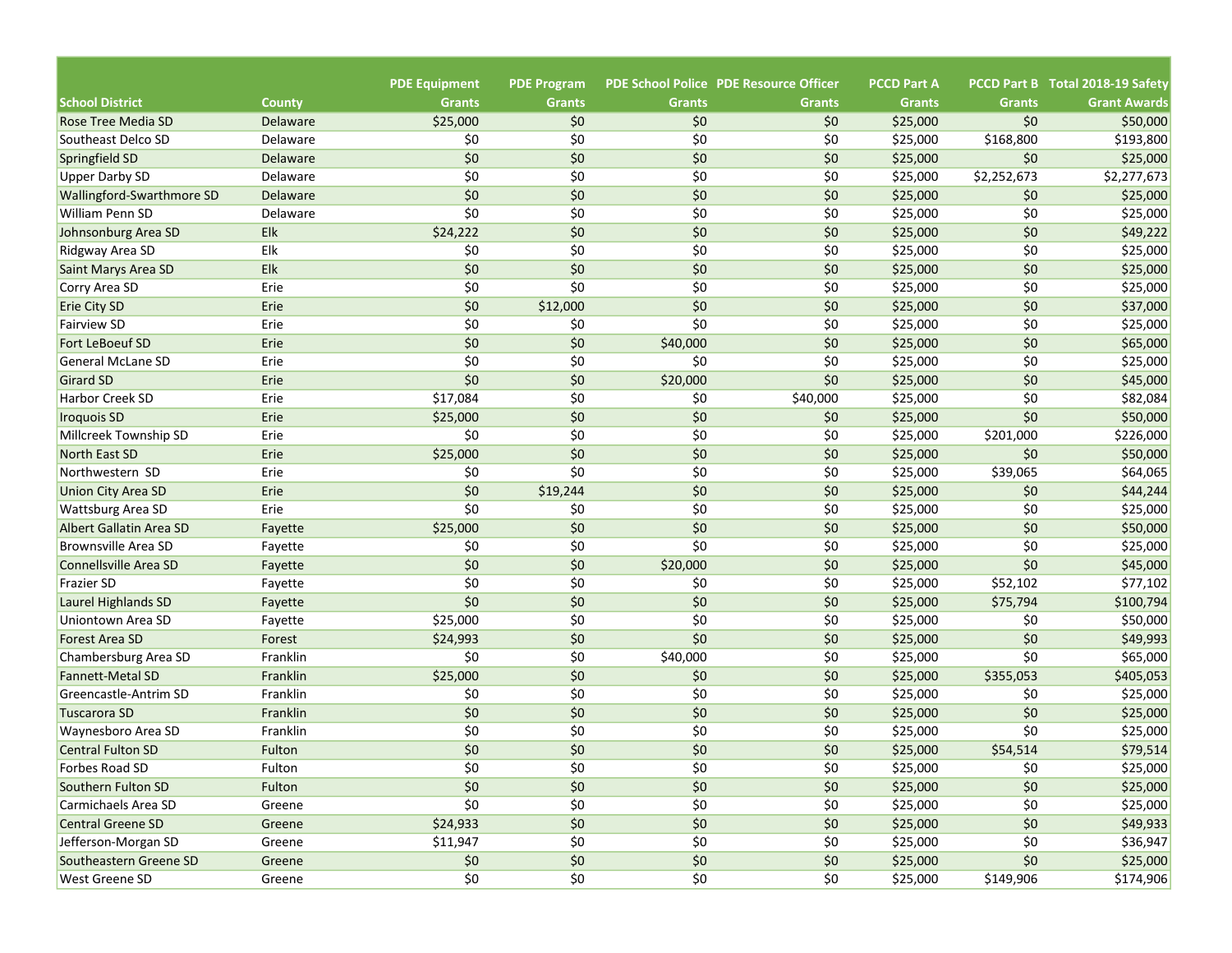|                            |               |                                       |                                     |               | <b>PDE School Police PDE Resource Officer</b> | <b>PCCD Part A</b> |               | PCCD Part B Total 2018-19 Safety |
|----------------------------|---------------|---------------------------------------|-------------------------------------|---------------|-----------------------------------------------|--------------------|---------------|----------------------------------|
| <b>School District</b>     | <b>County</b> | <b>PDE Equipment</b><br><b>Grants</b> | <b>PDE Program</b><br><b>Grants</b> | <b>Grants</b> | <b>Grants</b>                                 | <b>Grants</b>      | <b>Grants</b> | <b>Grant Awards</b>              |
| Rose Tree Media SD         | Delaware      | \$25,000                              | \$0                                 | \$0           | \$0                                           | \$25,000           | \$0           | \$50,000                         |
| Southeast Delco SD         | Delaware      | \$0                                   | \$0                                 | \$0           | \$0                                           | \$25,000           | \$168,800     | \$193,800                        |
| Springfield SD             | Delaware      | \$0                                   | \$0                                 | \$0           | \$0                                           | \$25,000           | \$0           | \$25,000                         |
| <b>Upper Darby SD</b>      | Delaware      | \$0                                   | \$0                                 | \$0           | \$0                                           | \$25,000           | \$2,252,673   | \$2,277,673                      |
| Wallingford-Swarthmore SD  | Delaware      | \$0                                   | \$0                                 | \$0           | \$0                                           | \$25,000           | \$0           | \$25,000                         |
| <b>William Penn SD</b>     | Delaware      | \$0                                   | \$0                                 | \$0           | \$0                                           | \$25,000           | \$0           | \$25,000                         |
| Johnsonburg Area SD        | Elk           | \$24,222                              | \$0                                 | \$0           | \$0                                           | \$25,000           | \$0           | \$49,222                         |
| Ridgway Area SD            | Elk           | \$0                                   | \$0                                 | \$0           | \$0                                           | \$25,000           | \$0           | \$25,000                         |
| Saint Marys Area SD        | Elk           | \$0                                   | \$0                                 | \$0           | \$0                                           | \$25,000           | \$0           | \$25,000                         |
| Corry Area SD              | Erie          | \$0                                   | \$0                                 | \$0           | \$0                                           | \$25,000           | \$0           | \$25,000                         |
| <b>Erie City SD</b>        | Erie          | \$0                                   | \$12,000                            | \$0           | \$0                                           | \$25,000           | \$0           | \$37,000                         |
| <b>Fairview SD</b>         | Erie          | \$0                                   | \$0                                 | \$0           | \$0                                           | \$25,000           | \$0           | \$25,000                         |
| <b>Fort LeBoeuf SD</b>     | Erie          | \$0                                   | \$0                                 | \$40,000      | \$0                                           | \$25,000           | \$0           | \$65,000                         |
| <b>General McLane SD</b>   | Erie          | \$0                                   | \$0                                 | \$0           | \$0                                           | \$25,000           | \$0           | \$25,000                         |
| <b>Girard SD</b>           | Erie          | \$0                                   | \$0                                 | \$20,000      | \$0                                           | \$25,000           | \$0           | \$45,000                         |
| Harbor Creek SD            | Erie          | \$17,084                              | \$0                                 | \$0           | \$40,000                                      | \$25,000           | \$0           | \$82,084                         |
| <b>Iroquois SD</b>         | Erie          | \$25,000                              | \$0                                 | \$0           | \$0                                           | \$25,000           | \$0           | \$50,000                         |
| Millcreek Township SD      | Erie          | \$0                                   | \$0                                 | \$0           | \$0                                           | \$25,000           | \$201,000     | \$226,000                        |
| North East SD              | Erie          | \$25,000                              | \$0                                 | \$0           | \$0                                           | \$25,000           | \$0           | \$50,000                         |
| Northwestern SD            | Erie          | \$0                                   | \$0                                 | \$0           | \$0                                           | \$25,000           | \$39,065      | \$64,065                         |
| <b>Union City Area SD</b>  | Erie          | \$0                                   | \$19,244                            | \$0           | \$0                                           | \$25,000           | \$0           | \$44,244                         |
| <b>Wattsburg Area SD</b>   | Erie          | \$0                                   | \$0                                 | \$0           | \$0                                           | \$25,000           | \$0           | \$25,000                         |
| Albert Gallatin Area SD    | Fayette       | \$25,000                              | \$0                                 | \$0           | \$0                                           | \$25,000           | \$0           | \$50,000                         |
| <b>Brownsville Area SD</b> | Fayette       | \$0                                   | \$0                                 | \$0           | \$0                                           | \$25,000           | \$0           | \$25,000                         |
| Connellsville Area SD      | Fayette       | \$0                                   | \$0                                 | \$20,000      | \$0                                           | \$25,000           | \$0           | \$45,000                         |
| <b>Frazier SD</b>          | Fayette       | \$0                                   | \$0                                 | \$0           | \$0                                           | \$25,000           | \$52,102      | \$77,102                         |
| Laurel Highlands SD        | Fayette       | \$0                                   | \$0                                 | \$0           | \$0                                           | \$25,000           | \$75,794      | \$100,794                        |
| Uniontown Area SD          | Fayette       | \$25,000                              | \$0                                 | \$0           | \$0                                           | \$25,000           | \$0           | \$50,000                         |
| Forest Area SD             | Forest        | \$24,993                              | \$0                                 | \$0           | \$0                                           | \$25,000           | \$0           | \$49,993                         |
| Chambersburg Area SD       | Franklin      | \$0                                   | \$0                                 | \$40,000      | \$0                                           | \$25,000           | \$0           | \$65,000                         |
| <b>Fannett-Metal SD</b>    | Franklin      | \$25,000                              | \$0                                 | \$0           | \$0                                           | \$25,000           | \$355,053     | \$405,053                        |
| Greencastle-Antrim SD      | Franklin      | \$0                                   | \$0                                 | \$0           | \$0                                           | \$25,000           | \$0           | \$25,000                         |
| <b>Tuscarora SD</b>        | Franklin      | \$0                                   | \$0                                 | \$0           | \$0                                           | \$25,000           | \$0           | \$25,000                         |
| Waynesboro Area SD         | Franklin      | \$0                                   | \$0                                 | \$0           | \$0                                           | \$25,000           | \$0           | \$25,000                         |
| <b>Central Fulton SD</b>   | Fulton        | \$0                                   | \$0                                 | \$0           | \$0                                           | \$25,000           | \$54,514      | \$79,514                         |
| Forbes Road SD             | Fulton        | \$0                                   | \$0                                 | \$0           | \$0                                           | \$25,000           | \$0           | \$25,000                         |
| Southern Fulton SD         | Fulton        | \$0                                   | \$0                                 | \$0           | \$0                                           | \$25,000           | \$0           | \$25,000                         |
| Carmichaels Area SD        | Greene        | \$0                                   | \$0                                 | \$0           | \$0                                           | \$25,000           | \$0           | \$25,000                         |
| <b>Central Greene SD</b>   | Greene        | \$24,933                              | $$0$$                               | \$0           | \$0                                           | \$25,000           | \$0           | \$49,933                         |
| Jefferson-Morgan SD        | Greene        | \$11,947                              | \$0                                 | \$0           | \$0                                           | \$25,000           | \$0           | \$36,947                         |
| Southeastern Greene SD     | Greene        | \$0                                   | $$0$$                               | \$0           | \$0                                           | \$25,000           | \$0           | \$25,000                         |
| <b>West Greene SD</b>      | Greene        | \$0                                   | \$0                                 | \$0           | \$0                                           | \$25,000           | \$149,906     | \$174,906                        |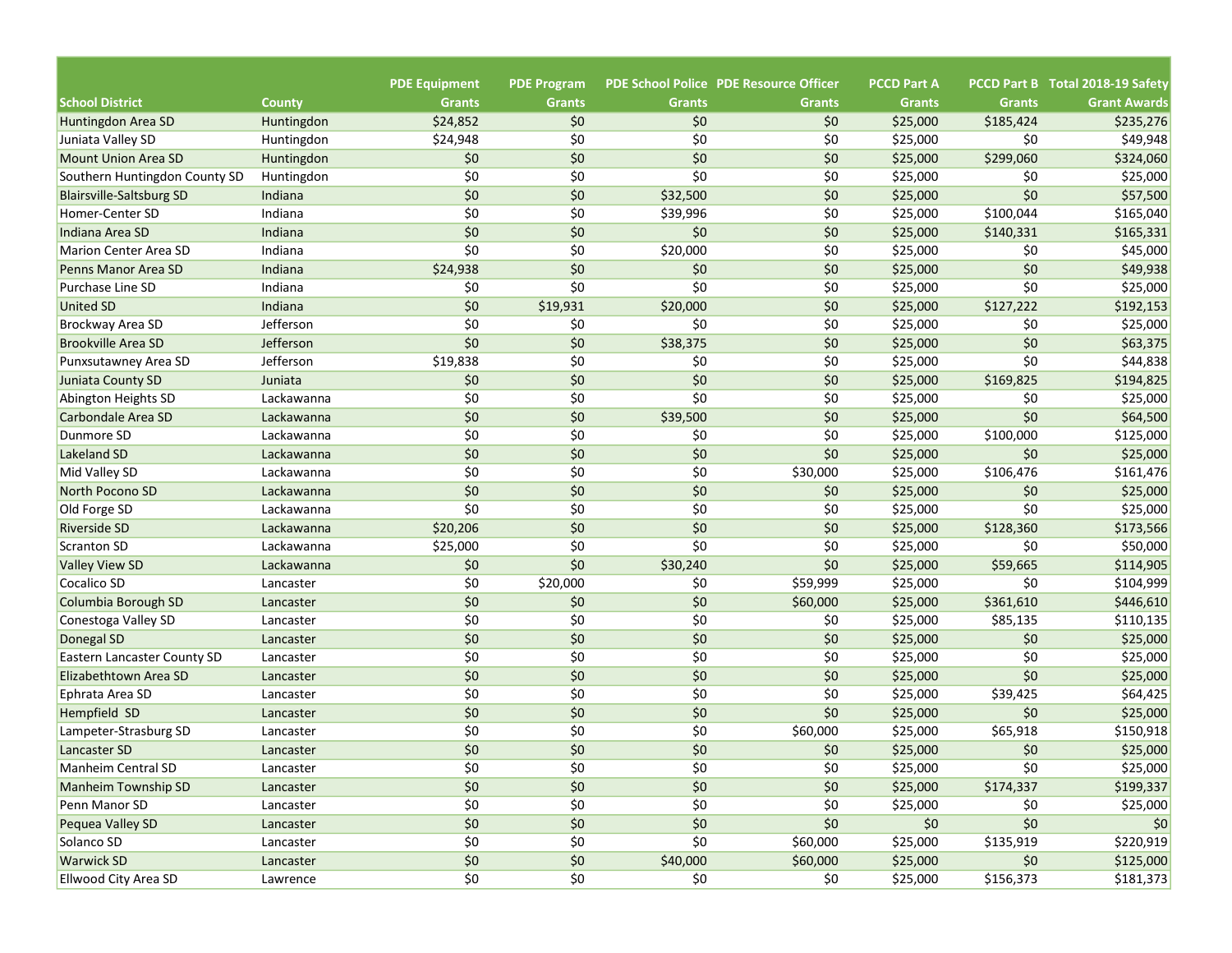| <b>PDE School Police PDE Resource Officer</b><br>PCCD Part B Total 2018-19 Safety<br><b>School District</b><br><b>Grants</b><br><b>Grants</b><br><b>Grants</b><br><b>Grants</b><br><b>Grants</b><br><b>Grants</b><br><b>Grant Awards</b><br><b>County</b><br>\$185,424<br><b>Huntingdon Area SD</b><br>Huntingdon<br>\$24,852<br>\$0<br>\$0<br>\$0<br>\$25,000<br>\$235,276<br>\$0<br>\$0<br>\$0<br>\$25,000<br>\$49,948<br>Juniata Valley SD<br>Huntingdon<br>\$24,948<br>\$0<br>\$0<br>\$0<br>\$0<br>\$299,060<br>\$0<br>\$25,000<br>\$324,060<br><b>Mount Union Area SD</b><br>Huntingdon<br>\$0<br>\$0<br>\$0<br>\$0<br>\$25,000<br>\$25,000<br>Southern Huntingdon County SD<br>Huntingdon<br>\$0<br>\$0<br>\$0<br>\$0<br>\$0<br>\$57,500<br>Indiana<br>\$32,500<br>\$25,000<br><b>Blairsville-Saltsburg SD</b><br>\$0<br>\$0<br>\$0<br>\$39,996<br>\$25,000<br>\$100,044<br>\$165,040<br>Homer-Center SD<br>Indiana<br>\$0<br>\$0<br>\$0<br>\$0<br>Indiana<br>\$25,000<br>\$140,331<br>\$165,331<br>Indiana Area SD<br>\$0<br>\$0<br>\$0<br>\$20,000<br>\$25,000<br>\$0<br>\$45,000<br>Indiana<br>Marion Center Area SD<br>\$0<br>\$0<br>\$0<br>\$0<br>Indiana<br>\$24,938<br>\$25,000<br>\$49,938<br>Penns Manor Area SD<br>\$0<br>\$0<br>\$0<br>\$0<br>Indiana<br>\$0<br>\$25,000<br>\$25,000<br>Purchase Line SD<br>\$0<br>\$0<br>Indiana<br>\$19,931<br>\$20,000<br>\$25,000<br>\$127,222<br>\$192,153<br>\$0<br>\$0<br>\$0<br>Jefferson<br>\$0<br>\$25,000<br>\$0<br>Brockway Area SD<br>\$25,000<br>\$0<br>\$0<br>\$0<br>\$0<br>Jefferson<br>\$38,375<br>\$25,000<br>\$63,375<br><b>Brookville Area SD</b><br>\$0<br>\$0<br>\$0<br>Jefferson<br>\$19,838<br>\$0<br>\$25,000<br>\$44,838<br>Punxsutawney Area SD<br>\$0<br>\$0<br>\$0<br>\$0<br>\$25,000<br>\$169,825<br>\$194,825<br>Juniata<br>\$0<br>\$0<br>\$0<br>\$0<br>\$25,000<br>\$0<br>\$25,000<br>Lackawanna<br>\$0<br>\$0<br>\$0<br>\$0<br>\$39,500<br>\$25,000<br>\$64,500<br>Lackawanna<br>\$0<br>\$0<br>\$0<br>\$0<br>\$25,000<br>\$100,000<br>\$125,000<br>Dunmore SD<br>Lackawanna<br>\$0<br>\$0<br>\$0<br>\$0<br>\$0<br>\$25,000<br>\$25,000<br>Lackawanna<br>\$0<br>\$0<br>\$0<br>\$30,000<br>\$25,000<br>\$106,476<br>\$161,476<br>Lackawanna<br>\$0<br>\$0<br>\$0<br>\$0<br>\$25,000<br>\$0<br>\$25,000<br>Lackawanna<br>\$0<br>\$0<br>\$0<br>\$0<br>\$0<br>\$25,000<br>\$25,000<br>Old Forge SD<br>Lackawanna<br>\$0<br>\$0<br>\$0<br>\$128,360<br>\$173,566<br>\$20,206<br>\$25,000<br><b>Riverside SD</b><br>Lackawanna<br>\$0<br>\$0<br>\$0<br>\$0<br>\$25,000<br>\$25,000<br>\$50,000<br>Lackawanna<br>Scranton SD<br>\$0<br>\$0<br>\$0<br>\$59,665<br>\$30,240<br>\$25,000<br>\$114,905<br>Lackawanna<br>\$0<br>\$0<br>\$59,999<br>\$25,000<br>\$0<br>\$104,999<br>Cocalico SD<br>\$20,000<br>Lancaster<br>\$0<br>\$0<br>\$446,610<br>\$0<br>\$60,000<br>\$25,000<br>\$361,610<br>Lancaster<br>\$0<br>\$0<br>\$0<br>\$0<br>\$25,000<br>\$110,135<br>\$85,135<br>Conestoga Valley SD<br>Lancaster<br>\$0<br>\$0<br>\$0<br>\$0<br>\$25,000<br>\$0<br>\$25,000<br>Donegal SD<br>Lancaster<br>\$0<br>\$0<br>\$0<br>\$0<br>\$25,000<br>\$0<br>\$25,000<br><b>Eastern Lancaster County SD</b><br>Lancaster<br>\$0<br>\$0<br>\$0<br>\$0<br>\$0<br>\$25,000<br>\$25,000<br>Lancaster<br>\$0<br>\$0<br>\$0<br>\$0<br>\$25,000<br>\$39,425<br>\$64,425<br>Ephrata Area SD<br>Lancaster<br>\$0<br>\$0<br>\$0<br>\$0<br>\$0<br>\$25,000<br>\$25,000<br>Lancaster<br>\$0<br>\$0<br>\$0<br>\$60,000<br>\$25,000<br>\$65,918<br>\$150,918<br>Lampeter-Strasburg SD<br>Lancaster<br>\$0<br>\$0<br>\$0<br>\$0<br>\$0<br>\$25,000<br>\$25,000<br>Lancaster SD<br>Lancaster<br>\$0<br>\$0<br>\$0<br>\$0<br>\$25,000<br>\$0<br>\$25,000<br><b>Manheim Central SD</b><br>Lancaster<br>\$0<br>\$0<br>\$0<br>$$0$$<br><b>Manheim Township SD</b><br>\$25,000<br>\$174,337<br>\$199,337<br>Lancaster<br>\$0<br>\$0<br>\$0<br>\$0<br>Penn Manor SD<br>\$25,000<br>Lancaster<br>\$0<br>\$25,000 |                       |                      |                    |  |                    |  |
|------------------------------------------------------------------------------------------------------------------------------------------------------------------------------------------------------------------------------------------------------------------------------------------------------------------------------------------------------------------------------------------------------------------------------------------------------------------------------------------------------------------------------------------------------------------------------------------------------------------------------------------------------------------------------------------------------------------------------------------------------------------------------------------------------------------------------------------------------------------------------------------------------------------------------------------------------------------------------------------------------------------------------------------------------------------------------------------------------------------------------------------------------------------------------------------------------------------------------------------------------------------------------------------------------------------------------------------------------------------------------------------------------------------------------------------------------------------------------------------------------------------------------------------------------------------------------------------------------------------------------------------------------------------------------------------------------------------------------------------------------------------------------------------------------------------------------------------------------------------------------------------------------------------------------------------------------------------------------------------------------------------------------------------------------------------------------------------------------------------------------------------------------------------------------------------------------------------------------------------------------------------------------------------------------------------------------------------------------------------------------------------------------------------------------------------------------------------------------------------------------------------------------------------------------------------------------------------------------------------------------------------------------------------------------------------------------------------------------------------------------------------------------------------------------------------------------------------------------------------------------------------------------------------------------------------------------------------------------------------------------------------------------------------------------------------------------------------------------------------------------------------------------------------------------------------------------------------------------------------------------------------------------------------------------------------------------------------------------------------------------------------------------------------------------------------------------------------------------------------------------------------------------------------------------------------------------------------------------------------------------------------------------------------------------------------------------------------------------------------------------------------------------------------------------------------------------------------------------------------------------------------------------------------------------------------------------------|-----------------------|----------------------|--------------------|--|--------------------|--|
|                                                                                                                                                                                                                                                                                                                                                                                                                                                                                                                                                                                                                                                                                                                                                                                                                                                                                                                                                                                                                                                                                                                                                                                                                                                                                                                                                                                                                                                                                                                                                                                                                                                                                                                                                                                                                                                                                                                                                                                                                                                                                                                                                                                                                                                                                                                                                                                                                                                                                                                                                                                                                                                                                                                                                                                                                                                                                                                                                                                                                                                                                                                                                                                                                                                                                                                                                                                                                                                                                                                                                                                                                                                                                                                                                                                                                                                                                                                                                            |                       | <b>PDE Equipment</b> | <b>PDE Program</b> |  | <b>PCCD Part A</b> |  |
|                                                                                                                                                                                                                                                                                                                                                                                                                                                                                                                                                                                                                                                                                                                                                                                                                                                                                                                                                                                                                                                                                                                                                                                                                                                                                                                                                                                                                                                                                                                                                                                                                                                                                                                                                                                                                                                                                                                                                                                                                                                                                                                                                                                                                                                                                                                                                                                                                                                                                                                                                                                                                                                                                                                                                                                                                                                                                                                                                                                                                                                                                                                                                                                                                                                                                                                                                                                                                                                                                                                                                                                                                                                                                                                                                                                                                                                                                                                                                            |                       |                      |                    |  |                    |  |
|                                                                                                                                                                                                                                                                                                                                                                                                                                                                                                                                                                                                                                                                                                                                                                                                                                                                                                                                                                                                                                                                                                                                                                                                                                                                                                                                                                                                                                                                                                                                                                                                                                                                                                                                                                                                                                                                                                                                                                                                                                                                                                                                                                                                                                                                                                                                                                                                                                                                                                                                                                                                                                                                                                                                                                                                                                                                                                                                                                                                                                                                                                                                                                                                                                                                                                                                                                                                                                                                                                                                                                                                                                                                                                                                                                                                                                                                                                                                                            |                       |                      |                    |  |                    |  |
|                                                                                                                                                                                                                                                                                                                                                                                                                                                                                                                                                                                                                                                                                                                                                                                                                                                                                                                                                                                                                                                                                                                                                                                                                                                                                                                                                                                                                                                                                                                                                                                                                                                                                                                                                                                                                                                                                                                                                                                                                                                                                                                                                                                                                                                                                                                                                                                                                                                                                                                                                                                                                                                                                                                                                                                                                                                                                                                                                                                                                                                                                                                                                                                                                                                                                                                                                                                                                                                                                                                                                                                                                                                                                                                                                                                                                                                                                                                                                            |                       |                      |                    |  |                    |  |
|                                                                                                                                                                                                                                                                                                                                                                                                                                                                                                                                                                                                                                                                                                                                                                                                                                                                                                                                                                                                                                                                                                                                                                                                                                                                                                                                                                                                                                                                                                                                                                                                                                                                                                                                                                                                                                                                                                                                                                                                                                                                                                                                                                                                                                                                                                                                                                                                                                                                                                                                                                                                                                                                                                                                                                                                                                                                                                                                                                                                                                                                                                                                                                                                                                                                                                                                                                                                                                                                                                                                                                                                                                                                                                                                                                                                                                                                                                                                                            |                       |                      |                    |  |                    |  |
|                                                                                                                                                                                                                                                                                                                                                                                                                                                                                                                                                                                                                                                                                                                                                                                                                                                                                                                                                                                                                                                                                                                                                                                                                                                                                                                                                                                                                                                                                                                                                                                                                                                                                                                                                                                                                                                                                                                                                                                                                                                                                                                                                                                                                                                                                                                                                                                                                                                                                                                                                                                                                                                                                                                                                                                                                                                                                                                                                                                                                                                                                                                                                                                                                                                                                                                                                                                                                                                                                                                                                                                                                                                                                                                                                                                                                                                                                                                                                            |                       |                      |                    |  |                    |  |
|                                                                                                                                                                                                                                                                                                                                                                                                                                                                                                                                                                                                                                                                                                                                                                                                                                                                                                                                                                                                                                                                                                                                                                                                                                                                                                                                                                                                                                                                                                                                                                                                                                                                                                                                                                                                                                                                                                                                                                                                                                                                                                                                                                                                                                                                                                                                                                                                                                                                                                                                                                                                                                                                                                                                                                                                                                                                                                                                                                                                                                                                                                                                                                                                                                                                                                                                                                                                                                                                                                                                                                                                                                                                                                                                                                                                                                                                                                                                                            |                       |                      |                    |  |                    |  |
|                                                                                                                                                                                                                                                                                                                                                                                                                                                                                                                                                                                                                                                                                                                                                                                                                                                                                                                                                                                                                                                                                                                                                                                                                                                                                                                                                                                                                                                                                                                                                                                                                                                                                                                                                                                                                                                                                                                                                                                                                                                                                                                                                                                                                                                                                                                                                                                                                                                                                                                                                                                                                                                                                                                                                                                                                                                                                                                                                                                                                                                                                                                                                                                                                                                                                                                                                                                                                                                                                                                                                                                                                                                                                                                                                                                                                                                                                                                                                            |                       |                      |                    |  |                    |  |
|                                                                                                                                                                                                                                                                                                                                                                                                                                                                                                                                                                                                                                                                                                                                                                                                                                                                                                                                                                                                                                                                                                                                                                                                                                                                                                                                                                                                                                                                                                                                                                                                                                                                                                                                                                                                                                                                                                                                                                                                                                                                                                                                                                                                                                                                                                                                                                                                                                                                                                                                                                                                                                                                                                                                                                                                                                                                                                                                                                                                                                                                                                                                                                                                                                                                                                                                                                                                                                                                                                                                                                                                                                                                                                                                                                                                                                                                                                                                                            |                       |                      |                    |  |                    |  |
|                                                                                                                                                                                                                                                                                                                                                                                                                                                                                                                                                                                                                                                                                                                                                                                                                                                                                                                                                                                                                                                                                                                                                                                                                                                                                                                                                                                                                                                                                                                                                                                                                                                                                                                                                                                                                                                                                                                                                                                                                                                                                                                                                                                                                                                                                                                                                                                                                                                                                                                                                                                                                                                                                                                                                                                                                                                                                                                                                                                                                                                                                                                                                                                                                                                                                                                                                                                                                                                                                                                                                                                                                                                                                                                                                                                                                                                                                                                                                            |                       |                      |                    |  |                    |  |
|                                                                                                                                                                                                                                                                                                                                                                                                                                                                                                                                                                                                                                                                                                                                                                                                                                                                                                                                                                                                                                                                                                                                                                                                                                                                                                                                                                                                                                                                                                                                                                                                                                                                                                                                                                                                                                                                                                                                                                                                                                                                                                                                                                                                                                                                                                                                                                                                                                                                                                                                                                                                                                                                                                                                                                                                                                                                                                                                                                                                                                                                                                                                                                                                                                                                                                                                                                                                                                                                                                                                                                                                                                                                                                                                                                                                                                                                                                                                                            |                       |                      |                    |  |                    |  |
|                                                                                                                                                                                                                                                                                                                                                                                                                                                                                                                                                                                                                                                                                                                                                                                                                                                                                                                                                                                                                                                                                                                                                                                                                                                                                                                                                                                                                                                                                                                                                                                                                                                                                                                                                                                                                                                                                                                                                                                                                                                                                                                                                                                                                                                                                                                                                                                                                                                                                                                                                                                                                                                                                                                                                                                                                                                                                                                                                                                                                                                                                                                                                                                                                                                                                                                                                                                                                                                                                                                                                                                                                                                                                                                                                                                                                                                                                                                                                            |                       |                      |                    |  |                    |  |
|                                                                                                                                                                                                                                                                                                                                                                                                                                                                                                                                                                                                                                                                                                                                                                                                                                                                                                                                                                                                                                                                                                                                                                                                                                                                                                                                                                                                                                                                                                                                                                                                                                                                                                                                                                                                                                                                                                                                                                                                                                                                                                                                                                                                                                                                                                                                                                                                                                                                                                                                                                                                                                                                                                                                                                                                                                                                                                                                                                                                                                                                                                                                                                                                                                                                                                                                                                                                                                                                                                                                                                                                                                                                                                                                                                                                                                                                                                                                                            | <b>United SD</b>      |                      |                    |  |                    |  |
|                                                                                                                                                                                                                                                                                                                                                                                                                                                                                                                                                                                                                                                                                                                                                                                                                                                                                                                                                                                                                                                                                                                                                                                                                                                                                                                                                                                                                                                                                                                                                                                                                                                                                                                                                                                                                                                                                                                                                                                                                                                                                                                                                                                                                                                                                                                                                                                                                                                                                                                                                                                                                                                                                                                                                                                                                                                                                                                                                                                                                                                                                                                                                                                                                                                                                                                                                                                                                                                                                                                                                                                                                                                                                                                                                                                                                                                                                                                                                            |                       |                      |                    |  |                    |  |
|                                                                                                                                                                                                                                                                                                                                                                                                                                                                                                                                                                                                                                                                                                                                                                                                                                                                                                                                                                                                                                                                                                                                                                                                                                                                                                                                                                                                                                                                                                                                                                                                                                                                                                                                                                                                                                                                                                                                                                                                                                                                                                                                                                                                                                                                                                                                                                                                                                                                                                                                                                                                                                                                                                                                                                                                                                                                                                                                                                                                                                                                                                                                                                                                                                                                                                                                                                                                                                                                                                                                                                                                                                                                                                                                                                                                                                                                                                                                                            |                       |                      |                    |  |                    |  |
|                                                                                                                                                                                                                                                                                                                                                                                                                                                                                                                                                                                                                                                                                                                                                                                                                                                                                                                                                                                                                                                                                                                                                                                                                                                                                                                                                                                                                                                                                                                                                                                                                                                                                                                                                                                                                                                                                                                                                                                                                                                                                                                                                                                                                                                                                                                                                                                                                                                                                                                                                                                                                                                                                                                                                                                                                                                                                                                                                                                                                                                                                                                                                                                                                                                                                                                                                                                                                                                                                                                                                                                                                                                                                                                                                                                                                                                                                                                                                            |                       |                      |                    |  |                    |  |
|                                                                                                                                                                                                                                                                                                                                                                                                                                                                                                                                                                                                                                                                                                                                                                                                                                                                                                                                                                                                                                                                                                                                                                                                                                                                                                                                                                                                                                                                                                                                                                                                                                                                                                                                                                                                                                                                                                                                                                                                                                                                                                                                                                                                                                                                                                                                                                                                                                                                                                                                                                                                                                                                                                                                                                                                                                                                                                                                                                                                                                                                                                                                                                                                                                                                                                                                                                                                                                                                                                                                                                                                                                                                                                                                                                                                                                                                                                                                                            | Juniata County SD     |                      |                    |  |                    |  |
|                                                                                                                                                                                                                                                                                                                                                                                                                                                                                                                                                                                                                                                                                                                                                                                                                                                                                                                                                                                                                                                                                                                                                                                                                                                                                                                                                                                                                                                                                                                                                                                                                                                                                                                                                                                                                                                                                                                                                                                                                                                                                                                                                                                                                                                                                                                                                                                                                                                                                                                                                                                                                                                                                                                                                                                                                                                                                                                                                                                                                                                                                                                                                                                                                                                                                                                                                                                                                                                                                                                                                                                                                                                                                                                                                                                                                                                                                                                                                            | Abington Heights SD   |                      |                    |  |                    |  |
|                                                                                                                                                                                                                                                                                                                                                                                                                                                                                                                                                                                                                                                                                                                                                                                                                                                                                                                                                                                                                                                                                                                                                                                                                                                                                                                                                                                                                                                                                                                                                                                                                                                                                                                                                                                                                                                                                                                                                                                                                                                                                                                                                                                                                                                                                                                                                                                                                                                                                                                                                                                                                                                                                                                                                                                                                                                                                                                                                                                                                                                                                                                                                                                                                                                                                                                                                                                                                                                                                                                                                                                                                                                                                                                                                                                                                                                                                                                                                            | Carbondale Area SD    |                      |                    |  |                    |  |
|                                                                                                                                                                                                                                                                                                                                                                                                                                                                                                                                                                                                                                                                                                                                                                                                                                                                                                                                                                                                                                                                                                                                                                                                                                                                                                                                                                                                                                                                                                                                                                                                                                                                                                                                                                                                                                                                                                                                                                                                                                                                                                                                                                                                                                                                                                                                                                                                                                                                                                                                                                                                                                                                                                                                                                                                                                                                                                                                                                                                                                                                                                                                                                                                                                                                                                                                                                                                                                                                                                                                                                                                                                                                                                                                                                                                                                                                                                                                                            |                       |                      |                    |  |                    |  |
|                                                                                                                                                                                                                                                                                                                                                                                                                                                                                                                                                                                                                                                                                                                                                                                                                                                                                                                                                                                                                                                                                                                                                                                                                                                                                                                                                                                                                                                                                                                                                                                                                                                                                                                                                                                                                                                                                                                                                                                                                                                                                                                                                                                                                                                                                                                                                                                                                                                                                                                                                                                                                                                                                                                                                                                                                                                                                                                                                                                                                                                                                                                                                                                                                                                                                                                                                                                                                                                                                                                                                                                                                                                                                                                                                                                                                                                                                                                                                            | Lakeland SD           |                      |                    |  |                    |  |
|                                                                                                                                                                                                                                                                                                                                                                                                                                                                                                                                                                                                                                                                                                                                                                                                                                                                                                                                                                                                                                                                                                                                                                                                                                                                                                                                                                                                                                                                                                                                                                                                                                                                                                                                                                                                                                                                                                                                                                                                                                                                                                                                                                                                                                                                                                                                                                                                                                                                                                                                                                                                                                                                                                                                                                                                                                                                                                                                                                                                                                                                                                                                                                                                                                                                                                                                                                                                                                                                                                                                                                                                                                                                                                                                                                                                                                                                                                                                                            | Mid Valley SD         |                      |                    |  |                    |  |
|                                                                                                                                                                                                                                                                                                                                                                                                                                                                                                                                                                                                                                                                                                                                                                                                                                                                                                                                                                                                                                                                                                                                                                                                                                                                                                                                                                                                                                                                                                                                                                                                                                                                                                                                                                                                                                                                                                                                                                                                                                                                                                                                                                                                                                                                                                                                                                                                                                                                                                                                                                                                                                                                                                                                                                                                                                                                                                                                                                                                                                                                                                                                                                                                                                                                                                                                                                                                                                                                                                                                                                                                                                                                                                                                                                                                                                                                                                                                                            | North Pocono SD       |                      |                    |  |                    |  |
|                                                                                                                                                                                                                                                                                                                                                                                                                                                                                                                                                                                                                                                                                                                                                                                                                                                                                                                                                                                                                                                                                                                                                                                                                                                                                                                                                                                                                                                                                                                                                                                                                                                                                                                                                                                                                                                                                                                                                                                                                                                                                                                                                                                                                                                                                                                                                                                                                                                                                                                                                                                                                                                                                                                                                                                                                                                                                                                                                                                                                                                                                                                                                                                                                                                                                                                                                                                                                                                                                                                                                                                                                                                                                                                                                                                                                                                                                                                                                            |                       |                      |                    |  |                    |  |
|                                                                                                                                                                                                                                                                                                                                                                                                                                                                                                                                                                                                                                                                                                                                                                                                                                                                                                                                                                                                                                                                                                                                                                                                                                                                                                                                                                                                                                                                                                                                                                                                                                                                                                                                                                                                                                                                                                                                                                                                                                                                                                                                                                                                                                                                                                                                                                                                                                                                                                                                                                                                                                                                                                                                                                                                                                                                                                                                                                                                                                                                                                                                                                                                                                                                                                                                                                                                                                                                                                                                                                                                                                                                                                                                                                                                                                                                                                                                                            |                       |                      |                    |  |                    |  |
|                                                                                                                                                                                                                                                                                                                                                                                                                                                                                                                                                                                                                                                                                                                                                                                                                                                                                                                                                                                                                                                                                                                                                                                                                                                                                                                                                                                                                                                                                                                                                                                                                                                                                                                                                                                                                                                                                                                                                                                                                                                                                                                                                                                                                                                                                                                                                                                                                                                                                                                                                                                                                                                                                                                                                                                                                                                                                                                                                                                                                                                                                                                                                                                                                                                                                                                                                                                                                                                                                                                                                                                                                                                                                                                                                                                                                                                                                                                                                            |                       |                      |                    |  |                    |  |
|                                                                                                                                                                                                                                                                                                                                                                                                                                                                                                                                                                                                                                                                                                                                                                                                                                                                                                                                                                                                                                                                                                                                                                                                                                                                                                                                                                                                                                                                                                                                                                                                                                                                                                                                                                                                                                                                                                                                                                                                                                                                                                                                                                                                                                                                                                                                                                                                                                                                                                                                                                                                                                                                                                                                                                                                                                                                                                                                                                                                                                                                                                                                                                                                                                                                                                                                                                                                                                                                                                                                                                                                                                                                                                                                                                                                                                                                                                                                                            | <b>Valley View SD</b> |                      |                    |  |                    |  |
|                                                                                                                                                                                                                                                                                                                                                                                                                                                                                                                                                                                                                                                                                                                                                                                                                                                                                                                                                                                                                                                                                                                                                                                                                                                                                                                                                                                                                                                                                                                                                                                                                                                                                                                                                                                                                                                                                                                                                                                                                                                                                                                                                                                                                                                                                                                                                                                                                                                                                                                                                                                                                                                                                                                                                                                                                                                                                                                                                                                                                                                                                                                                                                                                                                                                                                                                                                                                                                                                                                                                                                                                                                                                                                                                                                                                                                                                                                                                                            |                       |                      |                    |  |                    |  |
|                                                                                                                                                                                                                                                                                                                                                                                                                                                                                                                                                                                                                                                                                                                                                                                                                                                                                                                                                                                                                                                                                                                                                                                                                                                                                                                                                                                                                                                                                                                                                                                                                                                                                                                                                                                                                                                                                                                                                                                                                                                                                                                                                                                                                                                                                                                                                                                                                                                                                                                                                                                                                                                                                                                                                                                                                                                                                                                                                                                                                                                                                                                                                                                                                                                                                                                                                                                                                                                                                                                                                                                                                                                                                                                                                                                                                                                                                                                                                            | Columbia Borough SD   |                      |                    |  |                    |  |
|                                                                                                                                                                                                                                                                                                                                                                                                                                                                                                                                                                                                                                                                                                                                                                                                                                                                                                                                                                                                                                                                                                                                                                                                                                                                                                                                                                                                                                                                                                                                                                                                                                                                                                                                                                                                                                                                                                                                                                                                                                                                                                                                                                                                                                                                                                                                                                                                                                                                                                                                                                                                                                                                                                                                                                                                                                                                                                                                                                                                                                                                                                                                                                                                                                                                                                                                                                                                                                                                                                                                                                                                                                                                                                                                                                                                                                                                                                                                                            |                       |                      |                    |  |                    |  |
|                                                                                                                                                                                                                                                                                                                                                                                                                                                                                                                                                                                                                                                                                                                                                                                                                                                                                                                                                                                                                                                                                                                                                                                                                                                                                                                                                                                                                                                                                                                                                                                                                                                                                                                                                                                                                                                                                                                                                                                                                                                                                                                                                                                                                                                                                                                                                                                                                                                                                                                                                                                                                                                                                                                                                                                                                                                                                                                                                                                                                                                                                                                                                                                                                                                                                                                                                                                                                                                                                                                                                                                                                                                                                                                                                                                                                                                                                                                                                            |                       |                      |                    |  |                    |  |
|                                                                                                                                                                                                                                                                                                                                                                                                                                                                                                                                                                                                                                                                                                                                                                                                                                                                                                                                                                                                                                                                                                                                                                                                                                                                                                                                                                                                                                                                                                                                                                                                                                                                                                                                                                                                                                                                                                                                                                                                                                                                                                                                                                                                                                                                                                                                                                                                                                                                                                                                                                                                                                                                                                                                                                                                                                                                                                                                                                                                                                                                                                                                                                                                                                                                                                                                                                                                                                                                                                                                                                                                                                                                                                                                                                                                                                                                                                                                                            |                       |                      |                    |  |                    |  |
|                                                                                                                                                                                                                                                                                                                                                                                                                                                                                                                                                                                                                                                                                                                                                                                                                                                                                                                                                                                                                                                                                                                                                                                                                                                                                                                                                                                                                                                                                                                                                                                                                                                                                                                                                                                                                                                                                                                                                                                                                                                                                                                                                                                                                                                                                                                                                                                                                                                                                                                                                                                                                                                                                                                                                                                                                                                                                                                                                                                                                                                                                                                                                                                                                                                                                                                                                                                                                                                                                                                                                                                                                                                                                                                                                                                                                                                                                                                                                            | Elizabethtown Area SD |                      |                    |  |                    |  |
|                                                                                                                                                                                                                                                                                                                                                                                                                                                                                                                                                                                                                                                                                                                                                                                                                                                                                                                                                                                                                                                                                                                                                                                                                                                                                                                                                                                                                                                                                                                                                                                                                                                                                                                                                                                                                                                                                                                                                                                                                                                                                                                                                                                                                                                                                                                                                                                                                                                                                                                                                                                                                                                                                                                                                                                                                                                                                                                                                                                                                                                                                                                                                                                                                                                                                                                                                                                                                                                                                                                                                                                                                                                                                                                                                                                                                                                                                                                                                            |                       |                      |                    |  |                    |  |
|                                                                                                                                                                                                                                                                                                                                                                                                                                                                                                                                                                                                                                                                                                                                                                                                                                                                                                                                                                                                                                                                                                                                                                                                                                                                                                                                                                                                                                                                                                                                                                                                                                                                                                                                                                                                                                                                                                                                                                                                                                                                                                                                                                                                                                                                                                                                                                                                                                                                                                                                                                                                                                                                                                                                                                                                                                                                                                                                                                                                                                                                                                                                                                                                                                                                                                                                                                                                                                                                                                                                                                                                                                                                                                                                                                                                                                                                                                                                                            | Hempfield SD          |                      |                    |  |                    |  |
|                                                                                                                                                                                                                                                                                                                                                                                                                                                                                                                                                                                                                                                                                                                                                                                                                                                                                                                                                                                                                                                                                                                                                                                                                                                                                                                                                                                                                                                                                                                                                                                                                                                                                                                                                                                                                                                                                                                                                                                                                                                                                                                                                                                                                                                                                                                                                                                                                                                                                                                                                                                                                                                                                                                                                                                                                                                                                                                                                                                                                                                                                                                                                                                                                                                                                                                                                                                                                                                                                                                                                                                                                                                                                                                                                                                                                                                                                                                                                            |                       |                      |                    |  |                    |  |
|                                                                                                                                                                                                                                                                                                                                                                                                                                                                                                                                                                                                                                                                                                                                                                                                                                                                                                                                                                                                                                                                                                                                                                                                                                                                                                                                                                                                                                                                                                                                                                                                                                                                                                                                                                                                                                                                                                                                                                                                                                                                                                                                                                                                                                                                                                                                                                                                                                                                                                                                                                                                                                                                                                                                                                                                                                                                                                                                                                                                                                                                                                                                                                                                                                                                                                                                                                                                                                                                                                                                                                                                                                                                                                                                                                                                                                                                                                                                                            |                       |                      |                    |  |                    |  |
|                                                                                                                                                                                                                                                                                                                                                                                                                                                                                                                                                                                                                                                                                                                                                                                                                                                                                                                                                                                                                                                                                                                                                                                                                                                                                                                                                                                                                                                                                                                                                                                                                                                                                                                                                                                                                                                                                                                                                                                                                                                                                                                                                                                                                                                                                                                                                                                                                                                                                                                                                                                                                                                                                                                                                                                                                                                                                                                                                                                                                                                                                                                                                                                                                                                                                                                                                                                                                                                                                                                                                                                                                                                                                                                                                                                                                                                                                                                                                            |                       |                      |                    |  |                    |  |
|                                                                                                                                                                                                                                                                                                                                                                                                                                                                                                                                                                                                                                                                                                                                                                                                                                                                                                                                                                                                                                                                                                                                                                                                                                                                                                                                                                                                                                                                                                                                                                                                                                                                                                                                                                                                                                                                                                                                                                                                                                                                                                                                                                                                                                                                                                                                                                                                                                                                                                                                                                                                                                                                                                                                                                                                                                                                                                                                                                                                                                                                                                                                                                                                                                                                                                                                                                                                                                                                                                                                                                                                                                                                                                                                                                                                                                                                                                                                                            |                       |                      |                    |  |                    |  |
|                                                                                                                                                                                                                                                                                                                                                                                                                                                                                                                                                                                                                                                                                                                                                                                                                                                                                                                                                                                                                                                                                                                                                                                                                                                                                                                                                                                                                                                                                                                                                                                                                                                                                                                                                                                                                                                                                                                                                                                                                                                                                                                                                                                                                                                                                                                                                                                                                                                                                                                                                                                                                                                                                                                                                                                                                                                                                                                                                                                                                                                                                                                                                                                                                                                                                                                                                                                                                                                                                                                                                                                                                                                                                                                                                                                                                                                                                                                                                            |                       |                      |                    |  |                    |  |
| \$0<br>$$0$$<br>\$0<br>\$0<br>\$0<br>\$0\$<br>\$0<br>Lancaster                                                                                                                                                                                                                                                                                                                                                                                                                                                                                                                                                                                                                                                                                                                                                                                                                                                                                                                                                                                                                                                                                                                                                                                                                                                                                                                                                                                                                                                                                                                                                                                                                                                                                                                                                                                                                                                                                                                                                                                                                                                                                                                                                                                                                                                                                                                                                                                                                                                                                                                                                                                                                                                                                                                                                                                                                                                                                                                                                                                                                                                                                                                                                                                                                                                                                                                                                                                                                                                                                                                                                                                                                                                                                                                                                                                                                                                                                             | Pequea Valley SD      |                      |                    |  |                    |  |
| \$0<br>\$0<br>\$0<br>Solanco SD<br>\$60,000<br>\$25,000<br>\$135,919<br>\$220,919<br>Lancaster                                                                                                                                                                                                                                                                                                                                                                                                                                                                                                                                                                                                                                                                                                                                                                                                                                                                                                                                                                                                                                                                                                                                                                                                                                                                                                                                                                                                                                                                                                                                                                                                                                                                                                                                                                                                                                                                                                                                                                                                                                                                                                                                                                                                                                                                                                                                                                                                                                                                                                                                                                                                                                                                                                                                                                                                                                                                                                                                                                                                                                                                                                                                                                                                                                                                                                                                                                                                                                                                                                                                                                                                                                                                                                                                                                                                                                                             |                       |                      |                    |  |                    |  |
| <b>Warwick SD</b><br>$$0$$<br>$$0$$<br>\$40,000<br>\$60,000<br>\$25,000<br>\$0<br>\$125,000<br>Lancaster                                                                                                                                                                                                                                                                                                                                                                                                                                                                                                                                                                                                                                                                                                                                                                                                                                                                                                                                                                                                                                                                                                                                                                                                                                                                                                                                                                                                                                                                                                                                                                                                                                                                                                                                                                                                                                                                                                                                                                                                                                                                                                                                                                                                                                                                                                                                                                                                                                                                                                                                                                                                                                                                                                                                                                                                                                                                                                                                                                                                                                                                                                                                                                                                                                                                                                                                                                                                                                                                                                                                                                                                                                                                                                                                                                                                                                                   |                       |                      |                    |  |                    |  |
| \$0<br>\$0<br>\$0<br>\$0<br>\$25,000<br>\$156,373<br>\$181,373<br>Lawrence                                                                                                                                                                                                                                                                                                                                                                                                                                                                                                                                                                                                                                                                                                                                                                                                                                                                                                                                                                                                                                                                                                                                                                                                                                                                                                                                                                                                                                                                                                                                                                                                                                                                                                                                                                                                                                                                                                                                                                                                                                                                                                                                                                                                                                                                                                                                                                                                                                                                                                                                                                                                                                                                                                                                                                                                                                                                                                                                                                                                                                                                                                                                                                                                                                                                                                                                                                                                                                                                                                                                                                                                                                                                                                                                                                                                                                                                                 | Ellwood City Area SD  |                      |                    |  |                    |  |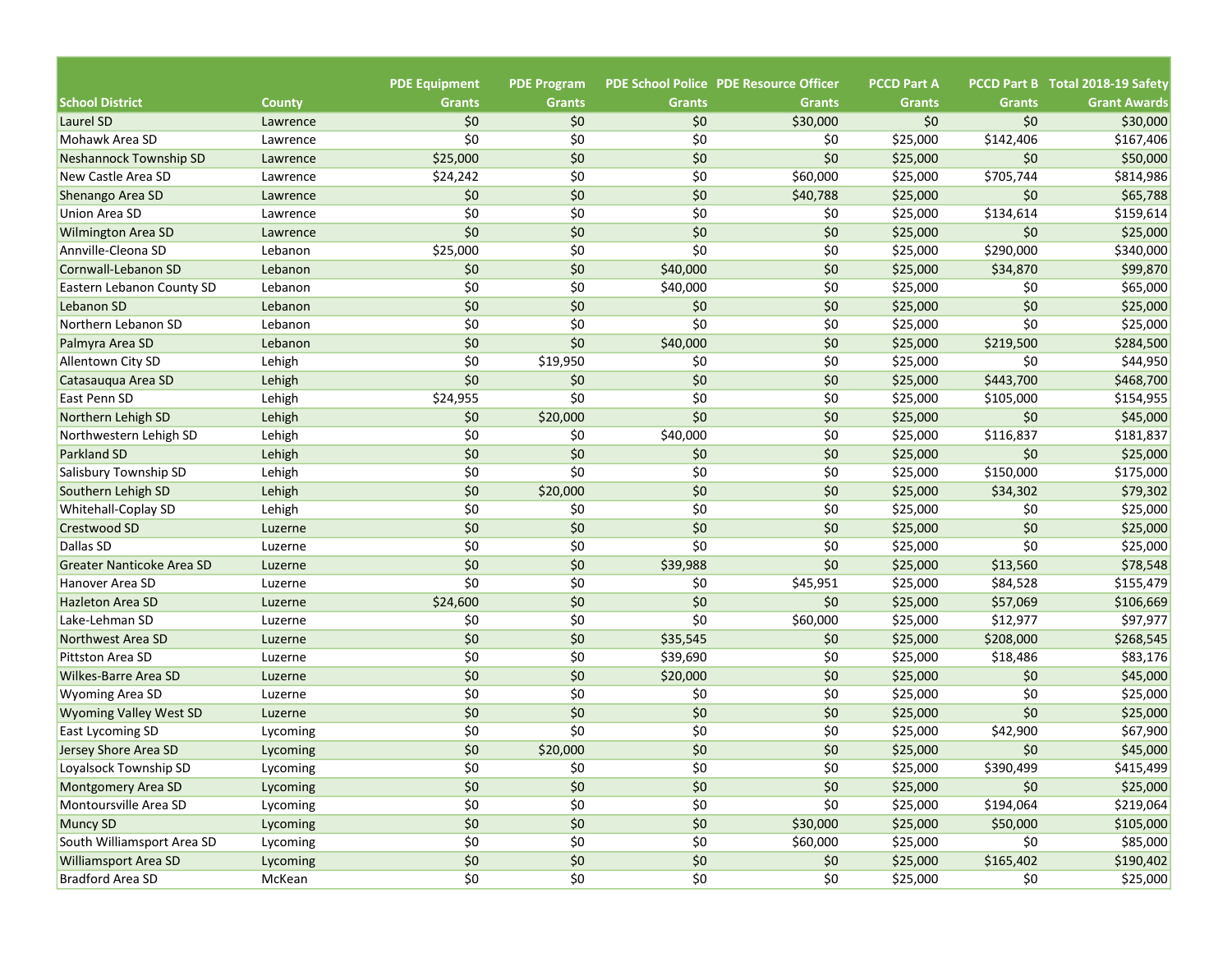|                               |               | <b>PDE Equipment</b> | <b>PDE Program</b> |               | <b>PDE School Police PDE Resource Officer</b> | <b>PCCD Part A</b> |               | PCCD Part B Total 2018-19 Safety |
|-------------------------------|---------------|----------------------|--------------------|---------------|-----------------------------------------------|--------------------|---------------|----------------------------------|
| <b>School District</b>        | <b>County</b> | <b>Grants</b>        | <b>Grants</b>      | <b>Grants</b> | <b>Grants</b>                                 | <b>Grants</b>      | <b>Grants</b> | <b>Grant Awards</b>              |
| Laurel SD                     | Lawrence      | \$0                  | \$0                | \$0           | \$30,000                                      | \$0                | \$0           | \$30,000                         |
| Mohawk Area SD                | Lawrence      | \$0                  | \$0                | \$0           | \$0                                           | \$25,000           | \$142,406     | \$167,406                        |
| Neshannock Township SD        | Lawrence      | \$25,000             | \$0                | \$0           | \$0                                           | \$25,000           | \$0           | \$50,000                         |
| New Castle Area SD            | Lawrence      | \$24,242             | \$0                | \$0           | \$60,000                                      | \$25,000           | \$705,744     | \$814,986                        |
| Shenango Area SD              | Lawrence      | \$0                  | \$0                | \$0           | \$40,788                                      | \$25,000           | \$0           | \$65,788                         |
| Union Area SD                 | Lawrence      | \$0                  | \$0                | \$0           | \$0                                           | \$25,000           | \$134,614     | \$159,614                        |
| <b>Wilmington Area SD</b>     | Lawrence      | \$0                  | \$0                | \$0           | \$0                                           | \$25,000           | \$0           | \$25,000                         |
| Annville-Cleona SD            | Lebanon       | \$25,000             | \$0                | \$0           | \$0                                           | \$25,000           | \$290,000     | \$340,000                        |
| Cornwall-Lebanon SD           | Lebanon       | \$0                  | \$0                | \$40,000      | \$0                                           | \$25,000           | \$34,870      | \$99,870                         |
| Eastern Lebanon County SD     | Lebanon       | \$0                  | \$0                | \$40,000      | \$0                                           | \$25,000           | \$0           | \$65,000                         |
| Lebanon SD                    | Lebanon       | \$0                  | \$0                | \$0           | \$0                                           | \$25,000           | \$0           | \$25,000                         |
| Northern Lebanon SD           | Lebanon       | \$0                  | \$0                | \$0           | \$0                                           | \$25,000           | \$0           | \$25,000                         |
| Palmyra Area SD               | Lebanon       | \$0                  | \$0                | \$40,000      | \$0                                           | \$25,000           | \$219,500     | \$284,500                        |
| <b>Allentown City SD</b>      | Lehigh        | \$0                  | \$19,950           | \$0           | \$0                                           | \$25,000           | \$0           | \$44,950                         |
| Catasaugua Area SD            | Lehigh        | \$0                  | \$0                | \$0           | \$0                                           | \$25,000           | \$443,700     | \$468,700                        |
| East Penn SD                  | Lehigh        | \$24,955             | \$0                | \$0           | \$0                                           | \$25,000           | \$105,000     | \$154,955                        |
| Northern Lehigh SD            | Lehigh        | \$0                  | \$20,000           | \$0           | \$0                                           | \$25,000           | \$0           | \$45,000                         |
| Northwestern Lehigh SD        | Lehigh        | \$0                  | \$0                | \$40,000      | \$0                                           | \$25,000           | \$116,837     | \$181,837                        |
| <b>Parkland SD</b>            | Lehigh        | \$0                  | \$0                | \$0           | \$0                                           | \$25,000           | \$0           | \$25,000                         |
| Salisbury Township SD         | Lehigh        | \$0                  | \$0                | \$0           | \$0                                           | \$25,000           | \$150,000     | \$175,000                        |
| Southern Lehigh SD            | Lehigh        | \$0                  | \$20,000           | \$0           | \$0                                           | \$25,000           | \$34,302      | \$79,302                         |
| <b>Whitehall-Coplay SD</b>    | Lehigh        | \$0                  | \$0                | \$0           | \$0                                           | \$25,000           | \$0           | \$25,000                         |
| <b>Crestwood SD</b>           | Luzerne       | \$0                  | \$0                | \$0           | \$0                                           | \$25,000           | \$0           | \$25,000                         |
| Dallas SD                     | Luzerne       | \$0                  | \$0                | \$0           | \$0                                           | \$25,000           | \$0           | \$25,000                         |
| Greater Nanticoke Area SD     | Luzerne       | \$0                  | \$0                | \$39,988      | \$0                                           | \$25,000           | \$13,560      | \$78,548                         |
| Hanover Area SD               | Luzerne       | \$0                  | \$0                | \$0           | \$45,951                                      | \$25,000           | \$84,528      | \$155,479                        |
| <b>Hazleton Area SD</b>       | Luzerne       | \$24,600             | \$0                | \$0           | \$0                                           | \$25,000           | \$57,069      | \$106,669                        |
| Lake-Lehman SD                | Luzerne       | \$0                  | \$0                | \$0           | \$60,000                                      | \$25,000           | \$12,977      | \$97,977                         |
| Northwest Area SD             | Luzerne       | \$0                  | \$0                | \$35,545      | \$0                                           | \$25,000           | \$208,000     | \$268,545                        |
| Pittston Area SD              | Luzerne       | \$0                  | \$0                | \$39,690      | \$0                                           | \$25,000           | \$18,486      | \$83,176                         |
| <b>Wilkes-Barre Area SD</b>   | Luzerne       | \$0                  | \$0                | \$20,000      | \$0                                           | \$25,000           | \$0           | \$45,000                         |
| <b>Wyoming Area SD</b>        | Luzerne       | \$0                  | \$0                | \$0           | \$0                                           | \$25,000           | \$0           | \$25,000                         |
| <b>Wyoming Valley West SD</b> | Luzerne       | \$0                  | \$0                | \$0           | \$0                                           | \$25,000           | \$0           | \$25,000                         |
| East Lycoming SD              | Lycoming      | \$0                  | \$0                | \$0           | \$0                                           | \$25,000           | \$42,900      | \$67,900                         |
| Jersey Shore Area SD          | Lycoming      | \$0                  | \$20,000           | \$0           | \$0                                           | \$25,000           | \$0           | \$45,000                         |
| Loyalsock Township SD         | Lycoming      | \$0                  | \$0                | \$0           | \$0                                           | \$25,000           | \$390,499     | \$415,499                        |
| Montgomery Area SD            | Lycoming      | $$0$$                | \$0                | \$0           | $$0$$                                         | \$25,000           | \$0           | \$25,000                         |
| Montoursville Area SD         | Lycoming      | \$0                  | \$0                | \$0           | \$0                                           | \$25,000           | \$194,064     | \$219,064                        |
| Muncy SD                      | Lycoming      | $$0$$                | $$0$$              | \$0           | \$30,000                                      | \$25,000           | \$50,000      | \$105,000                        |
| South Williamsport Area SD    | Lycoming      | $$0$$                | \$0                | \$0           | \$60,000                                      | \$25,000           | \$0           | \$85,000                         |
| <b>Williamsport Area SD</b>   | Lycoming      | \$0\$                | \$0                | \$0           | \$0                                           | \$25,000           | \$165,402     | \$190,402                        |
|                               |               | \$0                  |                    |               | \$0                                           |                    |               |                                  |
| Bradford Area SD              | McKean        |                      | \$0                | \$0           |                                               | \$25,000           | \$0           | \$25,000                         |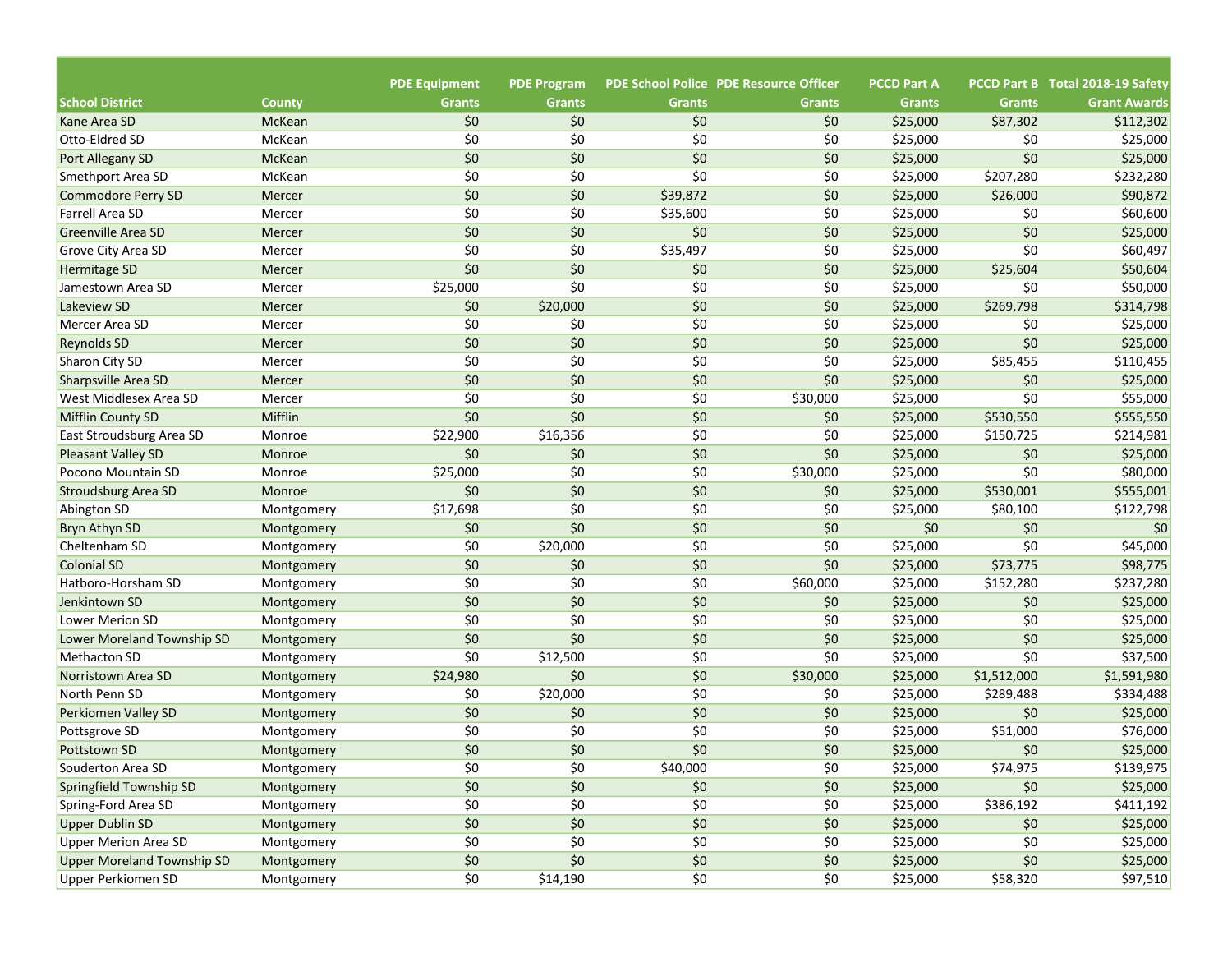|                                   |                         | <b>PDE Equipment</b> | <b>PDE Program</b> |               | <b>PDE School Police PDE Resource Officer</b> | <b>PCCD Part A</b>   |               | PCCD Part B Total 2018-19 Safety |
|-----------------------------------|-------------------------|----------------------|--------------------|---------------|-----------------------------------------------|----------------------|---------------|----------------------------------|
| <b>School District</b>            | <b>County</b>           | <b>Grants</b><br>\$0 | <b>Grants</b>      | <b>Grants</b> | <b>Grants</b>                                 | <b>Grants</b>        | <b>Grants</b> | <b>Grant Awards</b>              |
| Kane Area SD<br>Otto-Eldred SD    | <b>McKean</b>           | \$0                  | \$0<br>\$0         | \$0<br>\$0    | \$0                                           | \$25,000             | \$87,302      | \$112,302                        |
| Port Allegany SD                  | McKean<br><b>McKean</b> | \$0                  | \$0                | \$0           | \$0<br>\$0                                    | \$25,000<br>\$25,000 | \$0<br>\$0    | \$25,000<br>\$25,000             |
| Smethport Area SD                 | McKean                  | \$0                  | \$0                | \$0           | \$0                                           |                      | \$207,280     | \$232,280                        |
| Commodore Perry SD                | Mercer                  | \$0                  | \$0                | \$39,872      | \$0                                           | \$25,000<br>\$25,000 | \$26,000      | \$90,872                         |
| Farrell Area SD                   | Mercer                  | \$0                  | \$0                | \$35,600      | \$0                                           | \$25,000             | \$0           | \$60,600                         |
| <b>Greenville Area SD</b>         | Mercer                  | \$0                  | \$0                | \$0           | \$0                                           | \$25,000             | \$0           | \$25,000                         |
| <b>Grove City Area SD</b>         | Mercer                  | \$0                  | \$0                | \$35,497      | \$0                                           | \$25,000             | \$0           | \$60,497                         |
| Hermitage SD                      | Mercer                  | \$0                  | \$0                | \$0           | \$0                                           | \$25,000             | \$25,604      | \$50,604                         |
| Jamestown Area SD                 | Mercer                  | \$25,000             | \$0                | \$0           | \$0                                           | \$25,000             | \$0           | \$50,000                         |
| Lakeview SD                       | Mercer                  | \$0                  | \$20,000           | \$0           | \$0                                           | \$25,000             | \$269,798     | \$314,798                        |
| Mercer Area SD                    | Mercer                  | \$0                  | \$0                | \$0           | \$0                                           | \$25,000             | \$0           | \$25,000                         |
|                                   |                         | \$0                  | \$0                | \$0           | \$0                                           |                      | \$0           |                                  |
| <b>Reynolds SD</b>                | Mercer                  | \$0                  |                    |               |                                               | \$25,000             |               | \$25,000                         |
| Sharon City SD                    | Mercer                  |                      | \$0                | \$0           | \$0                                           | \$25,000             | \$85,455      | \$110,455                        |
| Sharpsville Area SD               | Mercer                  | \$0                  | \$0                | \$0           | \$0                                           | \$25,000             | \$0           | \$25,000                         |
| West Middlesex Area SD            | Mercer                  | \$0                  | \$0                | \$0           | \$30,000                                      | \$25,000             | \$0           | \$55,000                         |
| <b>Mifflin County SD</b>          | Mifflin                 | \$0                  | \$0                | \$0           | \$0                                           | \$25,000             | \$530,550     | \$555,550                        |
| East Stroudsburg Area SD          | Monroe                  | \$22,900             | \$16,356           | \$0           | \$0                                           | \$25,000             | \$150,725     | \$214,981                        |
| <b>Pleasant Valley SD</b>         | Monroe                  | \$0                  | \$0                | \$0           | \$0                                           | \$25,000             | \$0           | \$25,000                         |
| Pocono Mountain SD                | Monroe                  | \$25,000             | \$0                | \$0           | \$30,000                                      | \$25,000             | \$0           | \$80,000                         |
| <b>Stroudsburg Area SD</b>        | Monroe                  | \$0                  | \$0                | \$0           | \$0                                           | \$25,000             | \$530,001     | \$555,001                        |
| Abington SD                       | Montgomery              | \$17,698             | \$0                | \$0           | \$0                                           | \$25,000             | \$80,100      | \$122,798                        |
| Bryn Athyn SD                     | Montgomery              | \$0                  | \$0                | \$0           | \$0                                           | \$0                  | \$0           | \$0                              |
| Cheltenham SD                     | Montgomery              | \$0                  | \$20,000           | \$0           | \$0                                           | \$25,000             | \$0           | \$45,000                         |
| Colonial SD                       | Montgomery              | \$0                  | \$0                | \$0           | \$0                                           | \$25,000             | \$73,775      | \$98,775                         |
| Hatboro-Horsham SD                | Montgomery              | \$0                  | \$0                | \$0           | \$60,000                                      | \$25,000             | \$152,280     | \$237,280                        |
| Jenkintown SD                     | Montgomery              | \$0                  | \$0                | \$0           | \$0                                           | \$25,000             | \$0           | \$25,000                         |
| Lower Merion SD                   | Montgomery              | \$0                  | \$0                | \$0           | \$0                                           | \$25,000             | \$0           | \$25,000                         |
| Lower Moreland Township SD        | Montgomery              | \$0                  | \$0                | \$0           | \$0                                           | \$25,000             | \$0           | \$25,000                         |
| Methacton SD                      | Montgomery              | \$0                  | \$12,500           | \$0           | \$0                                           | \$25,000             | \$0           | \$37,500                         |
| Norristown Area SD                | Montgomery              | \$24,980             | \$0                | \$0           | \$30,000                                      | \$25,000             | \$1,512,000   | \$1,591,980                      |
| North Penn SD                     | Montgomery              | \$0                  | \$20,000           | \$0           | \$0                                           | \$25,000             | \$289,488     | \$334,488                        |
| Perkiomen Valley SD               | Montgomery              | \$0                  | \$0                | \$0           | \$0                                           | \$25,000             | \$0           | \$25,000                         |
| Pottsgrove SD                     | Montgomery              | \$0                  | \$0                | \$0           | \$0                                           | \$25,000             | \$51,000      | \$76,000                         |
| <b>Pottstown SD</b>               | Montgomery              | \$0                  | \$0                | \$0           | \$0                                           | \$25,000             | \$0           | \$25,000                         |
| Souderton Area SD                 | Montgomery              | \$0                  | \$0                | \$40,000      | \$0                                           | \$25,000             | \$74,975      | \$139,975                        |
| Springfield Township SD           | Montgomery              | \$0                  | \$0                | \$0           | $$0$$                                         | \$25,000             | \$0           | \$25,000                         |
| Spring-Ford Area SD               | Montgomery              | \$0                  | \$0                | \$0           | \$0                                           | \$25,000             | \$386,192     | \$411,192                        |
| <b>Upper Dublin SD</b>            | Montgomery              | \$0                  | \$0                | \$0           | \$0                                           | \$25,000             | \$0           | \$25,000                         |
| <b>Upper Merion Area SD</b>       | Montgomery              | \$0                  | \$0                | \$0           | \$0                                           | \$25,000             | \$0           | \$25,000                         |
| <b>Upper Moreland Township SD</b> | Montgomery              | \$0                  | \$0\$              | \$0           | \$0                                           | \$25,000             | \$0           | \$25,000                         |
| Upper Perkiomen SD                | Montgomery              | \$0                  | \$14,190           | \$0           | \$0                                           | \$25,000             | \$58,320      | \$97,510                         |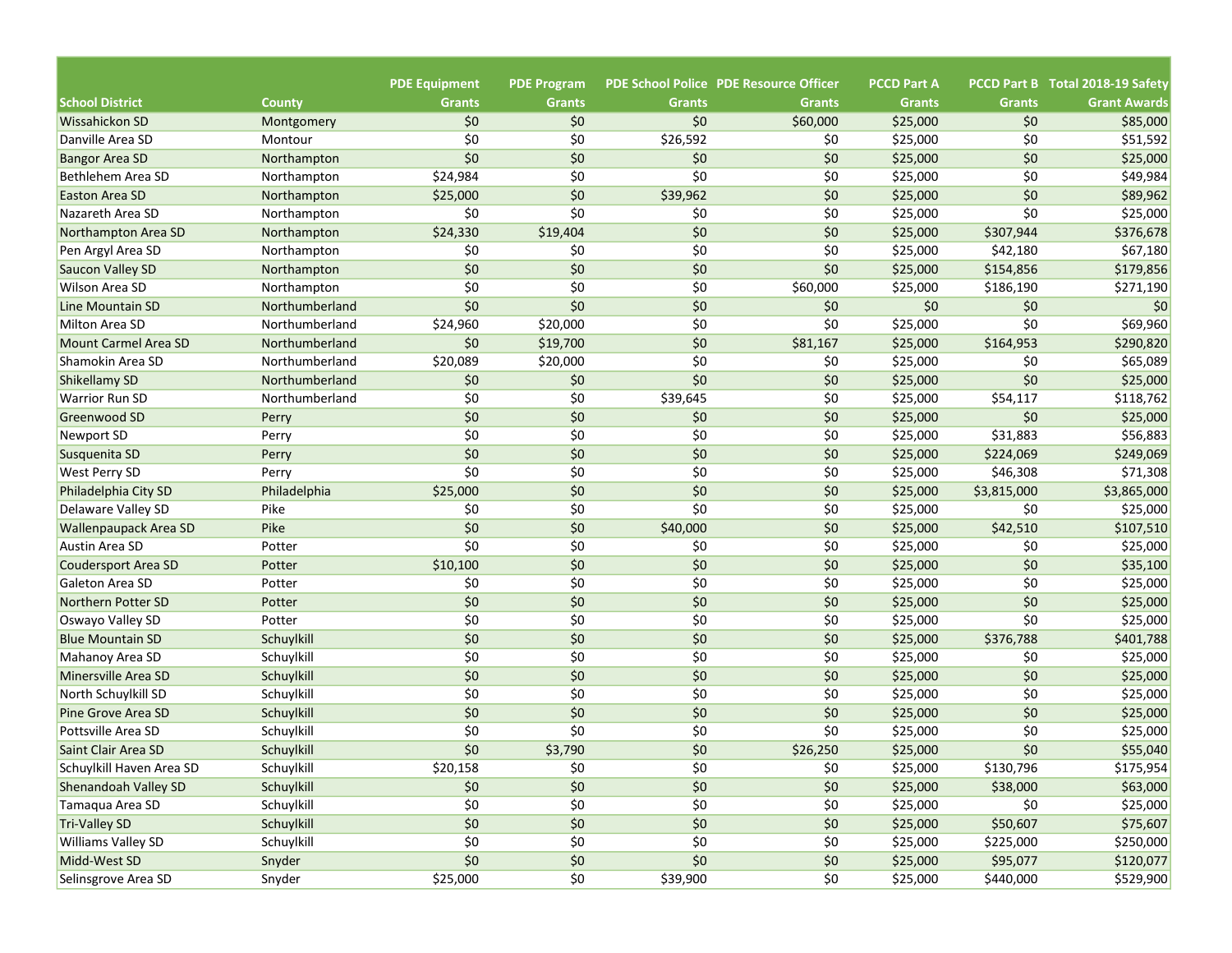|                                            |                            | <b>PDE Equipment</b> | <b>PDE Program</b> |                      | <b>PDE School Police PDE Resource Officer</b> | <b>PCCD Part A</b>   |                      | PCCD Part B Total 2018-19 Safety |
|--------------------------------------------|----------------------------|----------------------|--------------------|----------------------|-----------------------------------------------|----------------------|----------------------|----------------------------------|
| <b>School District</b>                     | <b>County</b>              | <b>Grants</b>        | <b>Grants</b>      | <b>Grants</b><br>\$0 | <b>Grants</b>                                 | <b>Grants</b>        | <b>Grants</b><br>\$0 | <b>Grant Awards</b>              |
| Wissahickon SD<br>Danville Area SD         | Montgomery                 | \$0<br>\$0           | \$0<br>\$0         |                      | \$60,000                                      | \$25,000             | \$0                  | \$85,000                         |
|                                            | Montour<br>Northampton     | \$0                  | \$0                | \$26,592<br>\$0      | \$0<br>\$0                                    | \$25,000<br>\$25,000 | \$0                  | \$51,592<br>\$25,000             |
| <b>Bangor Area SD</b><br>Bethlehem Area SD |                            | \$24,984             | \$0                | \$0                  | \$0                                           |                      | \$0                  | \$49,984                         |
| <b>Easton Area SD</b>                      | Northampton<br>Northampton | \$25,000             | \$0                | \$39,962             | \$0                                           | \$25,000<br>\$25,000 | \$0                  | \$89,962                         |
| Nazareth Area SD                           |                            | \$0                  | \$0                | \$0                  | \$0                                           | \$25,000             | \$0                  | \$25,000                         |
| Northampton Area SD                        | Northampton                | \$24,330             | \$19,404           | \$0                  | \$0                                           | \$25,000             | \$307,944            | \$376,678                        |
| Pen Argyl Area SD                          | Northampton                | \$0                  | \$0                | \$0                  | \$0                                           | \$25,000             | \$42,180             | \$67,180                         |
|                                            | Northampton                | \$0                  | \$0                | \$0                  | \$0                                           | \$25,000             | \$154,856            | \$179,856                        |
| Saucon Valley SD                           | Northampton                | \$0                  | \$0                | \$0                  |                                               |                      |                      |                                  |
| <b>Wilson Area SD</b>                      | Northampton                | \$0                  | \$0                |                      | \$60,000                                      | \$25,000             | \$186,190            | \$271,190                        |
| Line Mountain SD                           | Northumberland             |                      |                    | \$0                  | \$0                                           | \$0                  | \$0<br>\$0           | \$0                              |
| Milton Area SD                             | Northumberland             | \$24,960             | \$20,000           | \$0                  | \$0                                           | \$25,000             |                      | \$69,960                         |
| <b>Mount Carmel Area SD</b>                | Northumberland             | \$0                  | \$19,700           | \$0                  | \$81,167                                      | \$25,000             | \$164,953            | \$290,820                        |
| Shamokin Area SD                           | Northumberland             | \$20,089             | \$20,000           | \$0                  | \$0                                           | \$25,000             | \$0                  | \$65,089                         |
| Shikellamy SD                              | Northumberland             | \$0                  | \$0                | \$0                  | \$0                                           | \$25,000             | \$0                  | \$25,000                         |
| <b>Warrior Run SD</b>                      | Northumberland             | \$0                  | \$0                | \$39,645             | \$0                                           | \$25,000             | \$54,117             | \$118,762                        |
| Greenwood SD                               | Perry                      | \$0                  | \$0                | \$0                  | \$0                                           | \$25,000             | \$0                  | \$25,000                         |
| Newport SD                                 | Perry                      | \$0                  | \$0                | \$0                  | \$0                                           | \$25,000             | \$31,883             | \$56,883                         |
| Susquenita SD                              | Perry                      | \$0                  | \$0                | \$0                  | \$0                                           | \$25,000             | \$224,069            | \$249,069                        |
| <b>West Perry SD</b>                       | Perry                      | \$0                  | \$0                | \$0                  | \$0                                           | \$25,000             | \$46,308             | \$71,308                         |
| Philadelphia City SD                       | Philadelphia               | \$25,000             | \$0                | \$0                  | \$0                                           | \$25,000             | \$3,815,000          | \$3,865,000                      |
| Delaware Valley SD                         | Pike                       | \$0                  | \$0                | \$0                  | \$0                                           | \$25,000             | \$0                  | \$25,000                         |
| <b>Wallenpaupack Area SD</b>               | Pike                       | \$0                  | \$0                | \$40,000             | \$0                                           | \$25,000             | \$42,510             | \$107,510                        |
| <b>Austin Area SD</b>                      | Potter                     | \$0                  | \$0                | \$0                  | \$0                                           | \$25,000             | \$0                  | \$25,000                         |
| <b>Coudersport Area SD</b>                 | Potter                     | \$10,100             | \$0                | \$0                  | \$0                                           | \$25,000             | \$0                  | \$35,100                         |
| Galeton Area SD                            | Potter                     | \$0                  | \$0                | \$0                  | \$0                                           | \$25,000             | \$0                  | \$25,000                         |
| Northern Potter SD                         | Potter                     | \$0                  | \$0                | \$0                  | \$0                                           | \$25,000             | \$0                  | \$25,000                         |
| Oswayo Valley SD                           | Potter                     | \$0                  | \$0                | \$0                  | \$0                                           | \$25,000             | \$0                  | \$25,000                         |
| <b>Blue Mountain SD</b>                    | Schuylkill                 | \$0                  | \$0                | \$0                  | \$0                                           | \$25,000             | \$376,788            | \$401,788                        |
| Mahanoy Area SD                            | Schuylkill                 | \$0                  | \$0                | \$0                  | \$0                                           | \$25,000             | \$0                  | \$25,000                         |
| Minersville Area SD                        | Schuylkill                 | \$0                  | \$0                | \$0                  | \$0                                           | \$25,000             | \$0                  | \$25,000                         |
| North Schuylkill SD                        | Schuylkill                 | \$0                  | \$0                | \$0                  | \$0                                           | \$25,000             | \$0                  | \$25,000                         |
| Pine Grove Area SD                         | Schuylkill                 | \$0                  | \$0                | \$0                  | \$0                                           | \$25,000             | \$0                  | \$25,000                         |
| Pottsville Area SD                         | Schuylkill                 | \$0                  | \$0                | \$0                  | \$0                                           | \$25,000             | \$0                  | \$25,000                         |
| Saint Clair Area SD                        | Schuylkill                 | \$0                  | \$3,790            | \$0                  | \$26,250                                      | \$25,000             | \$0                  | \$55,040                         |
| Schuylkill Haven Area SD                   | Schuylkill                 | \$20,158             | \$0                | \$0                  | \$0                                           | \$25,000             | \$130,796            | \$175,954                        |
| Shenandoah Valley SD                       | Schuylkill                 | \$0                  | $$0$$              | \$0                  | $$0$$                                         | \$25,000             | \$38,000             | \$63,000                         |
| Tamaqua Area SD                            | Schuylkill                 | \$0                  | \$0                | \$0                  | \$0                                           | \$25,000             | \$0                  | \$25,000                         |
| <b>Tri-Valley SD</b>                       | Schuylkill                 | \$0                  | \$0                | \$0                  | \$0                                           | \$25,000             | \$50,607             | \$75,607                         |
| <b>Williams Valley SD</b>                  | Schuylkill                 | $$0$$                | \$0                | \$0                  | \$0                                           | \$25,000             | \$225,000            | \$250,000                        |
| Midd-West SD                               | Snyder                     | \$0                  | \$0                | \$0                  | \$0                                           | \$25,000             | \$95,077             | \$120,077                        |
| Selinsgrove Area SD                        | Snyder                     | \$25,000             | \$0                | \$39,900             | \$0                                           | \$25,000             | \$440,000            | \$529,900                        |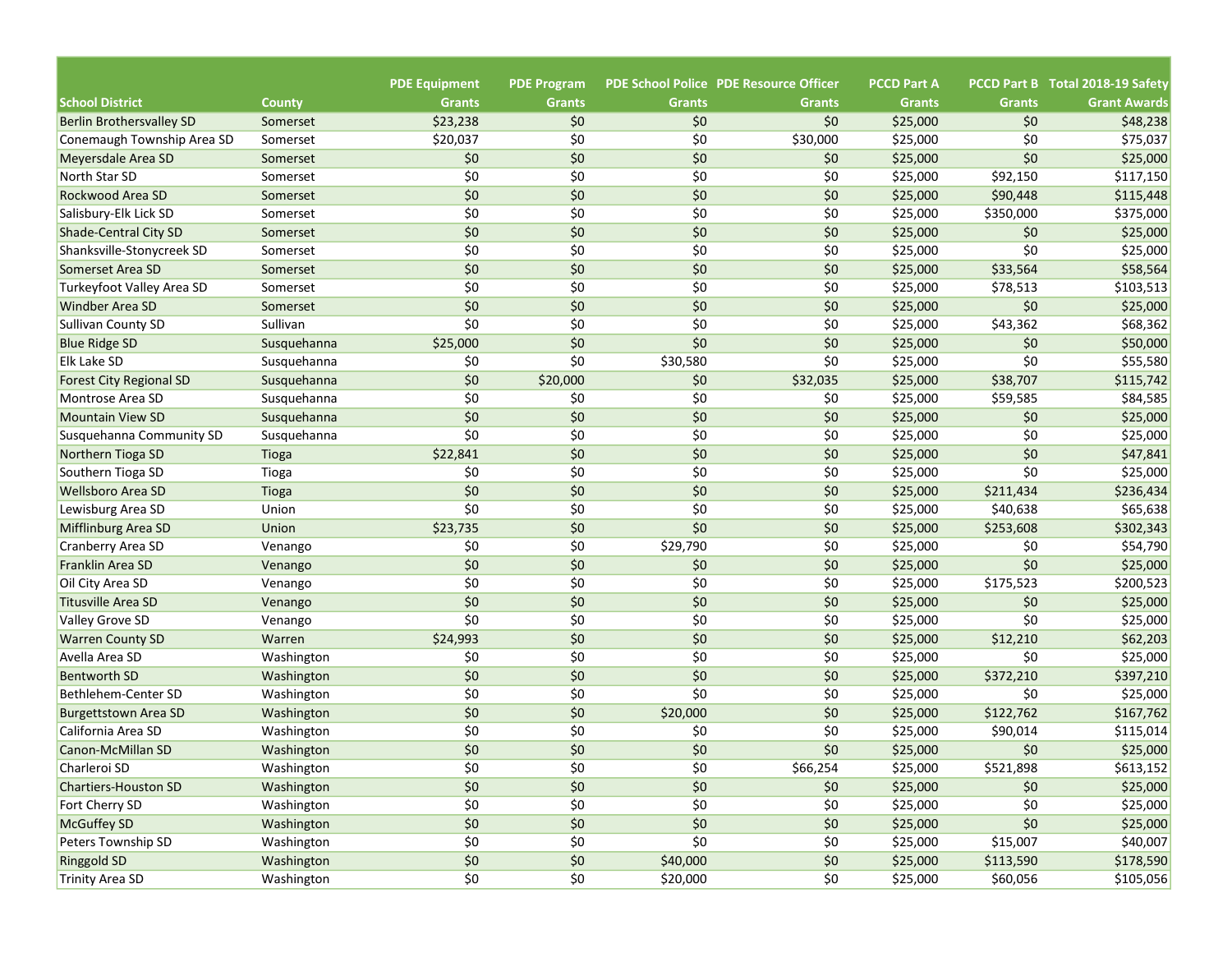|                                                  |                      | <b>PDE Equipment</b> | <b>PDE Program</b> |               | <b>PDE School Police PDE Resource Officer</b> | <b>PCCD Part A</b>   |                      | PCCD Part B Total 2018-19 Safety |
|--------------------------------------------------|----------------------|----------------------|--------------------|---------------|-----------------------------------------------|----------------------|----------------------|----------------------------------|
| <b>School District</b>                           | <b>County</b>        | <b>Grants</b>        | <b>Grants</b>      | <b>Grants</b> | <b>Grants</b><br>\$0                          | <b>Grants</b>        | <b>Grants</b><br>\$0 | <b>Grant Awards</b>              |
| <b>Berlin Brothersvalley SD</b>                  | Somerset             | \$23,238             | \$0                | \$0<br>\$0    |                                               | \$25,000             | \$0                  | \$48,238                         |
| Conemaugh Township Area SD<br>Meyersdale Area SD | Somerset             | \$20,037<br>\$0      | \$0<br>\$0         | \$0           | \$30,000<br>\$0                               | \$25,000<br>\$25,000 | \$0                  | \$75,037<br>\$25,000             |
| North Star SD                                    | Somerset<br>Somerset | \$0                  | \$0                | \$0           | \$0                                           | \$25,000             | \$92,150             |                                  |
| Rockwood Area SD                                 | Somerset             | \$0                  | \$0                | \$0           | \$0                                           | \$25,000             | \$90,448             | \$117,150<br>\$115,448           |
| Salisbury-Elk Lick SD                            |                      | \$0                  | \$0                | \$0           | \$0                                           | \$25,000             | \$350,000            | \$375,000                        |
| Shade-Central City SD                            | Somerset<br>Somerset | \$0                  | \$0                | \$0           | \$0                                           | \$25,000             | \$0                  | \$25,000                         |
| Shanksville-Stonycreek SD                        |                      | \$0                  | \$0                | \$0           | \$0                                           | \$25,000             | \$0                  | \$25,000                         |
| Somerset Area SD                                 | Somerset<br>Somerset | \$0                  | \$0                | \$0           | \$0                                           | \$25,000             | \$33,564             | \$58,564                         |
|                                                  |                      | \$0                  | \$0                | \$0           | \$0                                           |                      |                      |                                  |
| Turkeyfoot Valley Area SD                        | Somerset             | \$0                  | \$0                | \$0           | \$0                                           | \$25,000             | \$78,513<br>\$0      | \$103,513                        |
| <b>Windber Area SD</b>                           | Somerset             | \$0                  | \$0                | \$0           | \$0                                           | \$25,000             |                      | \$25,000                         |
| Sullivan County SD                               | Sullivan             |                      |                    |               |                                               | \$25,000             | \$43,362             | \$68,362                         |
| <b>Blue Ridge SD</b>                             | Susquehanna          | \$25,000             | \$0                | \$0           | \$0                                           | \$25,000             | \$0                  | \$50,000                         |
| <b>Elk Lake SD</b>                               | Susquehanna          | \$0                  | \$0                | \$30,580      | \$0                                           | \$25,000             | \$0                  | \$55,580                         |
| <b>Forest City Regional SD</b>                   | Susquehanna          | \$0                  | \$20,000           | \$0           | \$32,035                                      | \$25,000             | \$38,707             | \$115,742                        |
| Montrose Area SD                                 | Susquehanna          | \$0                  | \$0                | \$0           | \$0                                           | \$25,000             | \$59,585             | \$84,585                         |
| <b>Mountain View SD</b>                          | Susquehanna          | \$0                  | \$0                | \$0           | \$0                                           | \$25,000             | \$0                  | \$25,000                         |
| Susquehanna Community SD                         | Susquehanna          | \$0                  | \$0                | \$0           | \$0                                           | \$25,000             | \$0                  | \$25,000                         |
| Northern Tioga SD                                | Tioga                | \$22,841             | \$0                | \$0           | \$0                                           | \$25,000             | \$0                  | \$47,841                         |
| Southern Tioga SD                                | Tioga                | \$0                  | \$0                | \$0           | \$0                                           | \$25,000             | \$0                  | \$25,000                         |
| <b>Wellsboro Area SD</b>                         | Tioga                | \$0                  | \$0                | \$0           | \$0                                           | \$25,000             | \$211,434            | \$236,434                        |
| Lewisburg Area SD                                | Union                | \$0                  | \$0                | \$0           | \$0                                           | \$25,000             | \$40,638             | \$65,638                         |
| Mifflinburg Area SD                              | Union                | \$23,735             | \$0                | \$0           | \$0                                           | \$25,000             | \$253,608            | \$302,343                        |
| Cranberry Area SD                                | Venango              | \$0                  | \$0                | \$29,790      | \$0                                           | \$25,000             | \$0                  | \$54,790                         |
| Franklin Area SD                                 | Venango              | \$0                  | \$0                | \$0           | \$0                                           | \$25,000             | \$0                  | \$25,000                         |
| Oil City Area SD                                 | Venango              | \$0                  | \$0                | \$0           | \$0                                           | \$25,000             | \$175,523            | \$200,523                        |
| <b>Titusville Area SD</b>                        | Venango              | \$0                  | \$0                | \$0           | \$0                                           | \$25,000             | \$0                  | \$25,000                         |
| Valley Grove SD                                  | Venango              | \$0                  | \$0                | \$0           | \$0                                           | \$25,000             | \$0                  | \$25,000                         |
| <b>Warren County SD</b>                          | Warren               | \$24,993             | \$0                | \$0           | \$0                                           | \$25,000             | \$12,210             | \$62,203                         |
| Avella Area SD                                   | Washington           | \$0                  | \$0                | \$0           | \$0                                           | \$25,000             | \$0                  | \$25,000                         |
| <b>Bentworth SD</b>                              | Washington           | \$0                  | \$0                | \$0           | \$0                                           | \$25,000             | \$372,210            | \$397,210                        |
| Bethlehem-Center SD                              | Washington           | \$0                  | \$0                | \$0           | \$0                                           | \$25,000             | \$0                  | \$25,000                         |
| <b>Burgettstown Area SD</b>                      | Washington           | \$0                  | \$0                | \$20,000      | \$0                                           | \$25,000             | \$122,762            | \$167,762                        |
| California Area SD                               | Washington           | \$0                  | \$0                | \$0           | \$0                                           | \$25,000             | \$90,014             | \$115,014                        |
| Canon-McMillan SD                                | Washington           | \$0                  | \$0                | \$0           | \$0                                           | \$25,000             | \$0                  | \$25,000                         |
| Charleroi SD                                     | Washington           | \$0                  | \$0                | \$0           | \$66,254                                      | \$25,000             | \$521,898            | \$613,152                        |
| Chartiers-Houston SD                             | Washington           | \$0                  | \$0                | \$0           | \$0                                           | \$25,000             | \$0                  | \$25,000                         |
| Fort Cherry SD                                   | Washington           | \$0                  | \$0                | \$0           | \$0                                           | \$25,000             | \$0                  | \$25,000                         |
| McGuffey SD                                      | Washington           | $$0$$                | $$0$$              | \$0           | $$0$$                                         | \$25,000             | \$0\$                | \$25,000                         |
| Peters Township SD                               | Washington           | $$0$$                | \$0                | \$0           | \$0                                           | \$25,000             | \$15,007             | \$40,007                         |
| <b>Ringgold SD</b>                               | Washington           | \$0\$                | $$0$$              | \$40,000      | \$0                                           | \$25,000             | \$113,590            | \$178,590                        |
| <b>Trinity Area SD</b>                           | Washington           | \$0                  | \$0                | \$20,000      | \$0                                           | \$25,000             | \$60,056             | \$105,056                        |